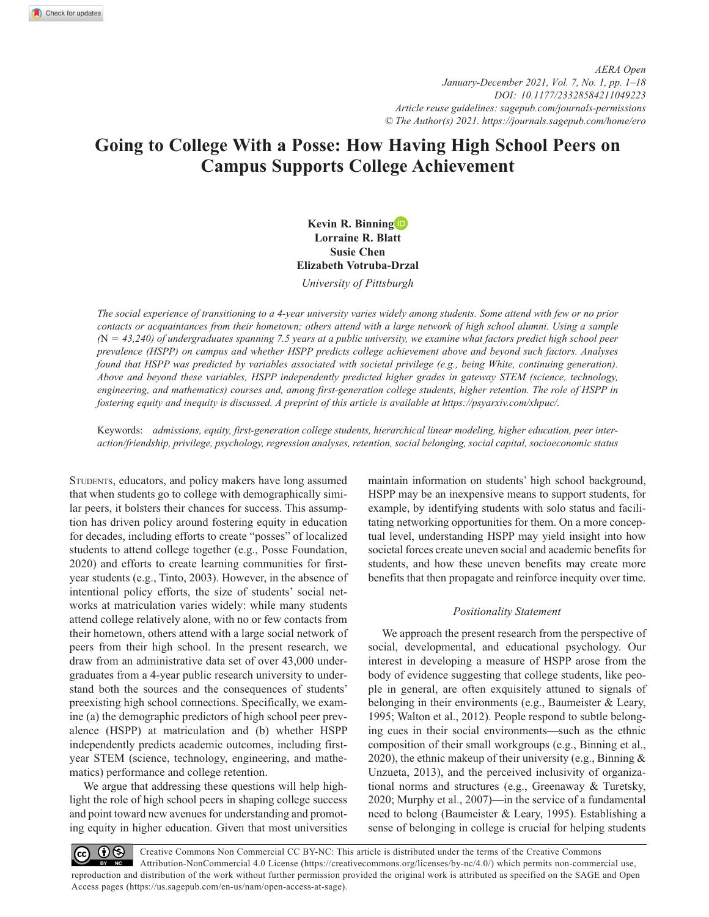# **Going to College With a Posse: How Having High School Peers on Campus Supports College Achievement**

**Kevin R. Binning Lorraine R. Blatt Susie Chen Elizabeth Votruba-Drzal**

*University of Pittsburgh*

*The social experience of transitioning to a 4-year university varies widely among students. Some attend with few or no prior contacts or acquaintances from their hometown; others attend with a large network of high school alumni. Using a sample (*N = *43,240) of undergraduates spanning 7.5 years at a public university, we examine what factors predict high school peer prevalence (HSPP) on campus and whether HSPP predicts college achievement above and beyond such factors. Analyses found that HSPP was predicted by variables associated with societal privilege (e.g., being White, continuing generation). Above and beyond these variables, HSPP independently predicted higher grades in gateway STEM (science, technology, engineering, and mathematics) courses and, among first-generation college students, higher retention. The role of HSPP in fostering equity and inequity is discussed. A preprint of this article is available at<https://psyarxiv.com/xhpuc/>.*

Keywords: *admissions, equity, first-generation college students, hierarchical linear modeling, higher education, peer interaction/friendship, privilege, psychology, regression analyses, retention, social belonging, social capital, socioeconomic status*

STUDENTS, educators, and policy makers have long assumed that when students go to college with demographically similar peers, it bolsters their chances for success. This assumption has driven policy around fostering equity in education for decades, including efforts to create "posses" of localized students to attend college together (e.g., Posse Foundation, 2020) and efforts to create learning communities for firstyear students (e.g., Tinto, 2003). However, in the absence of intentional policy efforts, the size of students' social networks at matriculation varies widely: while many students attend college relatively alone, with no or few contacts from their hometown, others attend with a large social network of peers from their high school. In the present research, we draw from an administrative data set of over 43,000 undergraduates from a 4-year public research university to understand both the sources and the consequences of students' preexisting high school connections. Specifically, we examine (a) the demographic predictors of high school peer prevalence (HSPP) at matriculation and (b) whether HSPP independently predicts academic outcomes, including firstyear STEM (science, technology, engineering, and mathematics) performance and college retention.

We argue that addressing these questions will help highlight the role of high school peers in shaping college success and point toward new avenues for understanding and promoting equity in higher education. Given that most universities

maintain information on students' high school background, HSPP may be an inexpensive means to support students, for example, by identifying students with solo status and facilitating networking opportunities for them. On a more conceptual level, understanding HSPP may yield insight into how societal forces create uneven social and academic benefits for students, and how these uneven benefits may create more benefits that then propagate and reinforce inequity over time.

# *Positionality Statement*

We approach the present research from the perspective of social, developmental, and educational psychology. Our interest in developing a measure of HSPP arose from the body of evidence suggesting that college students, like people in general, are often exquisitely attuned to signals of belonging in their environments (e.g., Baumeister & Leary, 1995; Walton et al., 2012). People respond to subtle belonging cues in their social environments—such as the ethnic composition of their small workgroups (e.g., Binning et al., 2020), the ethnic makeup of their university (e.g., Binning  $\&$ Unzueta, 2013), and the perceived inclusivity of organizational norms and structures (e.g., Greenaway & Turetsky, 2020; Murphy et al., 2007)—in the service of a fundamental need to belong (Baumeister & Leary, 1995). Establishing a sense of belonging in college is crucial for helping students

Creative Commons Non Commercial CC BY-NC: This article is distributed under the terms of the Creative Commons  $\bigcirc$  $\left( c c \right)$ Attribution-NonCommercial 4.0 License (https://creativecommons.org/licenses/by-nc/4.0/) which permits non-commercial use, reproduction and distribution of the work without further permission provided the original work is attributed as specified on the SAGE and Open Access pages (https://us.sagepub.com/en-us/nam/open-access-at-sage).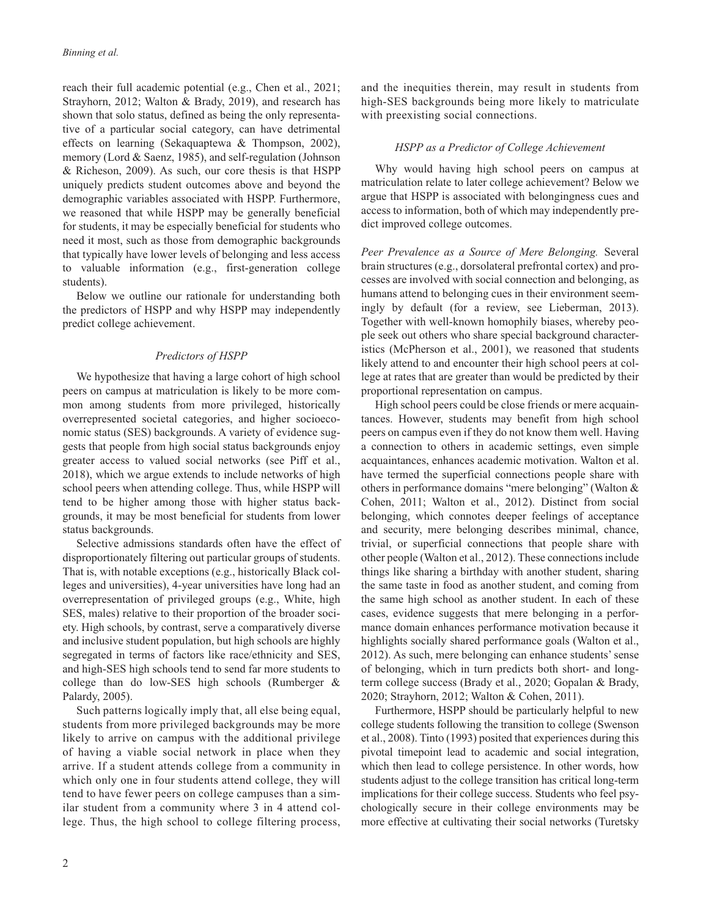reach their full academic potential (e.g., Chen et al., 2021; Strayhorn, 2012; Walton & Brady, 2019), and research has shown that solo status, defined as being the only representative of a particular social category, can have detrimental effects on learning (Sekaquaptewa & Thompson, 2002), memory (Lord & Saenz, 1985), and self-regulation (Johnson & Richeson, 2009). As such, our core thesis is that HSPP uniquely predicts student outcomes above and beyond the demographic variables associated with HSPP. Furthermore, we reasoned that while HSPP may be generally beneficial for students, it may be especially beneficial for students who need it most, such as those from demographic backgrounds that typically have lower levels of belonging and less access to valuable information (e.g., first-generation college students).

Below we outline our rationale for understanding both the predictors of HSPP and why HSPP may independently predict college achievement.

# *Predictors of HSPP*

We hypothesize that having a large cohort of high school peers on campus at matriculation is likely to be more common among students from more privileged, historically overrepresented societal categories, and higher socioeconomic status (SES) backgrounds. A variety of evidence suggests that people from high social status backgrounds enjoy greater access to valued social networks (see Piff et al., 2018), which we argue extends to include networks of high school peers when attending college. Thus, while HSPP will tend to be higher among those with higher status backgrounds, it may be most beneficial for students from lower status backgrounds.

Selective admissions standards often have the effect of disproportionately filtering out particular groups of students. That is, with notable exceptions (e.g., historically Black colleges and universities), 4-year universities have long had an overrepresentation of privileged groups (e.g., White, high SES, males) relative to their proportion of the broader society. High schools, by contrast, serve a comparatively diverse and inclusive student population, but high schools are highly segregated in terms of factors like race/ethnicity and SES, and high-SES high schools tend to send far more students to college than do low-SES high schools (Rumberger & Palardy, 2005).

Such patterns logically imply that, all else being equal, students from more privileged backgrounds may be more likely to arrive on campus with the additional privilege of having a viable social network in place when they arrive. If a student attends college from a community in which only one in four students attend college, they will tend to have fewer peers on college campuses than a similar student from a community where 3 in 4 attend college. Thus, the high school to college filtering process, and the inequities therein, may result in students from high-SES backgrounds being more likely to matriculate with preexisting social connections.

## *HSPP as a Predictor of College Achievement*

Why would having high school peers on campus at matriculation relate to later college achievement? Below we argue that HSPP is associated with belongingness cues and access to information, both of which may independently predict improved college outcomes.

*Peer Prevalence as a Source of Mere Belonging.* Several brain structures (e.g., dorsolateral prefrontal cortex) and processes are involved with social connection and belonging, as humans attend to belonging cues in their environment seemingly by default (for a review, see Lieberman, 2013). Together with well-known homophily biases, whereby people seek out others who share special background characteristics (McPherson et al., 2001), we reasoned that students likely attend to and encounter their high school peers at college at rates that are greater than would be predicted by their proportional representation on campus.

High school peers could be close friends or mere acquaintances. However, students may benefit from high school peers on campus even if they do not know them well. Having a connection to others in academic settings, even simple acquaintances, enhances academic motivation. Walton et al. have termed the superficial connections people share with others in performance domains "mere belonging" (Walton & Cohen, 2011; Walton et al., 2012). Distinct from social belonging, which connotes deeper feelings of acceptance and security, mere belonging describes minimal, chance, trivial, or superficial connections that people share with other people (Walton et al., 2012). These connections include things like sharing a birthday with another student, sharing the same taste in food as another student, and coming from the same high school as another student. In each of these cases, evidence suggests that mere belonging in a performance domain enhances performance motivation because it highlights socially shared performance goals (Walton et al., 2012). As such, mere belonging can enhance students' sense of belonging, which in turn predicts both short- and longterm college success (Brady et al., 2020; Gopalan & Brady, 2020; Strayhorn, 2012; Walton & Cohen, 2011).

Furthermore, HSPP should be particularly helpful to new college students following the transition to college (Swenson et al., 2008). Tinto (1993) posited that experiences during this pivotal timepoint lead to academic and social integration, which then lead to college persistence. In other words, how students adjust to the college transition has critical long-term implications for their college success. Students who feel psychologically secure in their college environments may be more effective at cultivating their social networks (Turetsky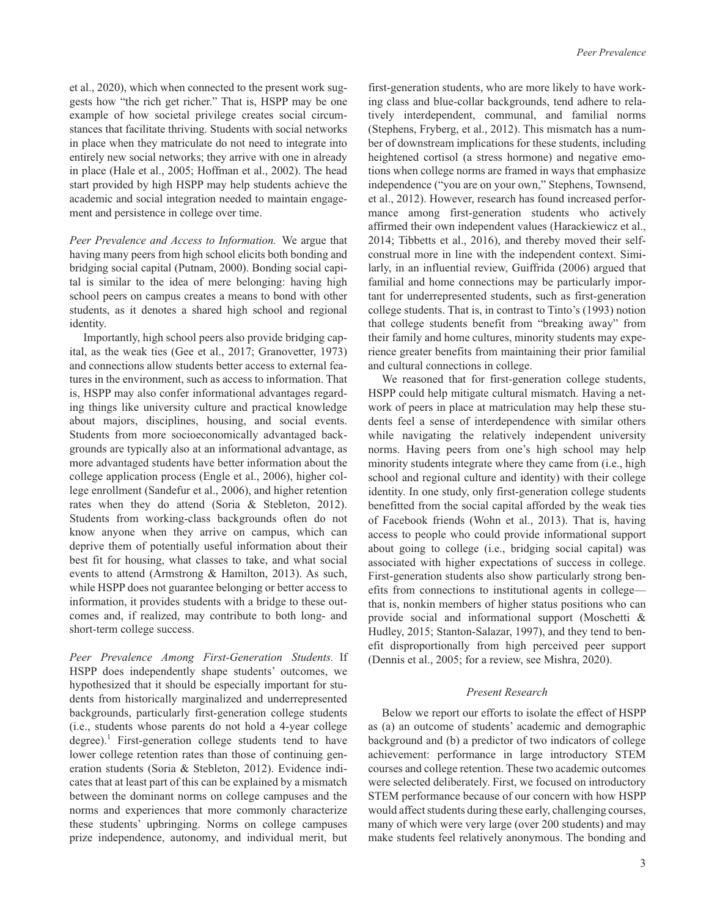et al., 2020), which when connected to the present work suggests how "the rich get richer." That is, HSPP may be one example of how societal privilege creates social circumstances that facilitate thriving. Students with social networks in place when they matriculate do not need to integrate into entirely new social networks; they arrive with one in already in place (Hale et al., 2005; Hoffman et al., 2002). The head start provided by high HSPP may help students achieve the academic and social integration needed to maintain engagement and persistence in college over time.

*Peer Prevalence and Access to Information.* We argue that having many peers from high school elicits both bonding and bridging social capital (Putnam, 2000). Bonding social capital is similar to the idea of mere belonging: having high school peers on campus creates a means to bond with other students, as it denotes a shared high school and regional identity.

Importantly, high school peers also provide bridging capital, as the weak ties (Gee et al., 2017; Granovetter, 1973) and connections allow students better access to external features in the environment, such as access to information. That is, HSPP may also confer informational advantages regarding things like university culture and practical knowledge about majors, disciplines, housing, and social events. Students from more socioeconomically advantaged backgrounds are typically also at an informational advantage, as more advantaged students have better information about the college application process (Engle et al., 2006), higher college enrollment (Sandefur et al., 2006), and higher retention rates when they do attend (Soria & Stebleton, 2012). Students from working-class backgrounds often do not know anyone when they arrive on campus, which can deprive them of potentially useful information about their best fit for housing, what classes to take, and what social events to attend (Armstrong & Hamilton, 2013). As such, while HSPP does not guarantee belonging or better access to information, it provides students with a bridge to these outcomes and, if realized, may contribute to both long- and short-term college success.

*Peer Prevalence Among First-Generation Students.* If HSPP does independently shape students' outcomes, we hypothesized that it should be especially important for students from historically marginalized and underrepresented backgrounds, particularly first-generation college students (i.e., students whose parents do not hold a 4-year college degree).<sup>1</sup> First-generation college students tend to have lower college retention rates than those of continuing generation students (Soria & Stebleton, 2012). Evidence indicates that at least part of this can be explained by a mismatch between the dominant norms on college campuses and the norms and experiences that more commonly characterize these students' upbringing. Norms on college campuses prize independence, autonomy, and individual merit, but

first-generation students, who are more likely to have working class and blue-collar backgrounds, tend adhere to relatively interdependent, communal, and familial norms (Stephens, Fryberg, et al., 2012). This mismatch has a number of downstream implications for these students, including heightened cortisol (a stress hormone) and negative emotions when college norms are framed in ways that emphasize independence ("you are on your own," Stephens, Townsend, et al., 2012). However, research has found increased performance among first-generation students who actively affirmed their own independent values (Harackiewicz et al., 2014; Tibbetts et al., 2016), and thereby moved their selfconstrual more in line with the independent context. Similarly, in an influential review, Guiffrida (2006) argued that familial and home connections may be particularly important for underrepresented students, such as first-generation college students. That is, in contrast to Tinto's (1993) notion that college students benefit from "breaking away" from their family and home cultures, minority students may experience greater benefits from maintaining their prior familial and cultural connections in college.

We reasoned that for first-generation college students, HSPP could help mitigate cultural mismatch. Having a network of peers in place at matriculation may help these students feel a sense of interdependence with similar others while navigating the relatively independent university norms. Having peers from one's high school may help minority students integrate where they came from (i.e., high school and regional culture and identity) with their college identity. In one study, only first-generation college students benefitted from the social capital afforded by the weak ties of Facebook friends (Wohn et al., 2013). That is, having access to people who could provide informational support about going to college (i.e., bridging social capital) was associated with higher expectations of success in college. First-generation students also show particularly strong benefits from connections to institutional agents in college that is, nonkin members of higher status positions who can provide social and informational support (Moschetti & Hudley, 2015; Stanton-Salazar, 1997), and they tend to benefit disproportionally from high perceived peer support (Dennis et al., 2005; for a review, see Mishra, 2020).

## *Present Research*

Below we report our efforts to isolate the effect of HSPP as (a) an outcome of students' academic and demographic background and (b) a predictor of two indicators of college achievement: performance in large introductory STEM courses and college retention. These two academic outcomes were selected deliberately. First, we focused on introductory STEM performance because of our concern with how HSPP would affect students during these early, challenging courses, many of which were very large (over 200 students) and may make students feel relatively anonymous. The bonding and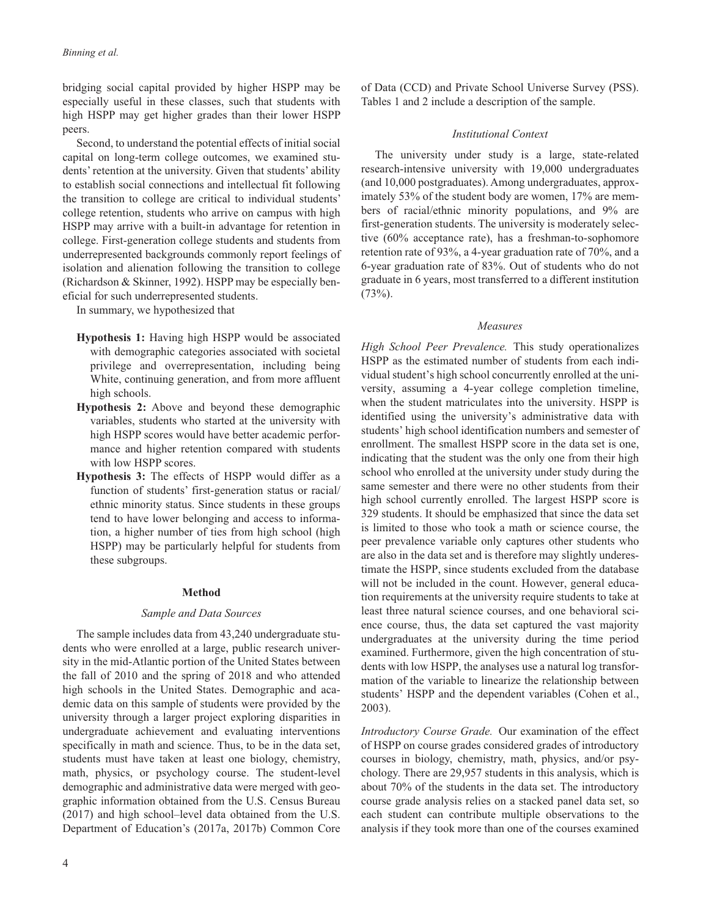bridging social capital provided by higher HSPP may be especially useful in these classes, such that students with high HSPP may get higher grades than their lower HSPP peers.

Second, to understand the potential effects of initial social capital on long-term college outcomes, we examined students' retention at the university. Given that students' ability to establish social connections and intellectual fit following the transition to college are critical to individual students' college retention, students who arrive on campus with high HSPP may arrive with a built-in advantage for retention in college. First-generation college students and students from underrepresented backgrounds commonly report feelings of isolation and alienation following the transition to college (Richardson & Skinner, 1992). HSPP may be especially beneficial for such underrepresented students.

In summary, we hypothesized that

- **Hypothesis 1:** Having high HSPP would be associated with demographic categories associated with societal privilege and overrepresentation, including being White, continuing generation, and from more affluent high schools.
- **Hypothesis 2:** Above and beyond these demographic variables, students who started at the university with high HSPP scores would have better academic performance and higher retention compared with students with low HSPP scores.
- **Hypothesis 3:** The effects of HSPP would differ as a function of students' first-generation status or racial/ ethnic minority status. Since students in these groups tend to have lower belonging and access to information, a higher number of ties from high school (high HSPP) may be particularly helpful for students from these subgroups.

#### **Method**

#### *Sample and Data Sources*

The sample includes data from 43,240 undergraduate students who were enrolled at a large, public research university in the mid-Atlantic portion of the United States between the fall of 2010 and the spring of 2018 and who attended high schools in the United States. Demographic and academic data on this sample of students were provided by the university through a larger project exploring disparities in undergraduate achievement and evaluating interventions specifically in math and science. Thus, to be in the data set, students must have taken at least one biology, chemistry, math, physics, or psychology course. The student-level demographic and administrative data were merged with geographic information obtained from the U.S. Census Bureau (2017) and high school–level data obtained from the U.S. Department of Education's (2017a, 2017b) Common Core

of Data (CCD) and Private School Universe Survey (PSS). Tables 1 and 2 include a description of the sample.

## *Institutional Context*

The university under study is a large, state-related research-intensive university with 19,000 undergraduates (and 10,000 postgraduates). Among undergraduates, approximately 53% of the student body are women, 17% are members of racial/ethnic minority populations, and 9% are first-generation students. The university is moderately selective (60% acceptance rate), has a freshman-to-sophomore retention rate of 93%, a 4-year graduation rate of 70%, and a 6-year graduation rate of 83%. Out of students who do not graduate in 6 years, most transferred to a different institution  $(73%)$ .

#### *Measures*

*High School Peer Prevalence.* This study operationalizes HSPP as the estimated number of students from each individual student's high school concurrently enrolled at the university, assuming a 4-year college completion timeline, when the student matriculates into the university. HSPP is identified using the university's administrative data with students' high school identification numbers and semester of enrollment. The smallest HSPP score in the data set is one, indicating that the student was the only one from their high school who enrolled at the university under study during the same semester and there were no other students from their high school currently enrolled. The largest HSPP score is 329 students. It should be emphasized that since the data set is limited to those who took a math or science course, the peer prevalence variable only captures other students who are also in the data set and is therefore may slightly underestimate the HSPP, since students excluded from the database will not be included in the count. However, general education requirements at the university require students to take at least three natural science courses, and one behavioral science course, thus, the data set captured the vast majority undergraduates at the university during the time period examined. Furthermore, given the high concentration of students with low HSPP, the analyses use a natural log transformation of the variable to linearize the relationship between students' HSPP and the dependent variables (Cohen et al., 2003).

*Introductory Course Grade.* Our examination of the effect of HSPP on course grades considered grades of introductory courses in biology, chemistry, math, physics, and/or psychology. There are 29,957 students in this analysis, which is about 70% of the students in the data set. The introductory course grade analysis relies on a stacked panel data set, so each student can contribute multiple observations to the analysis if they took more than one of the courses examined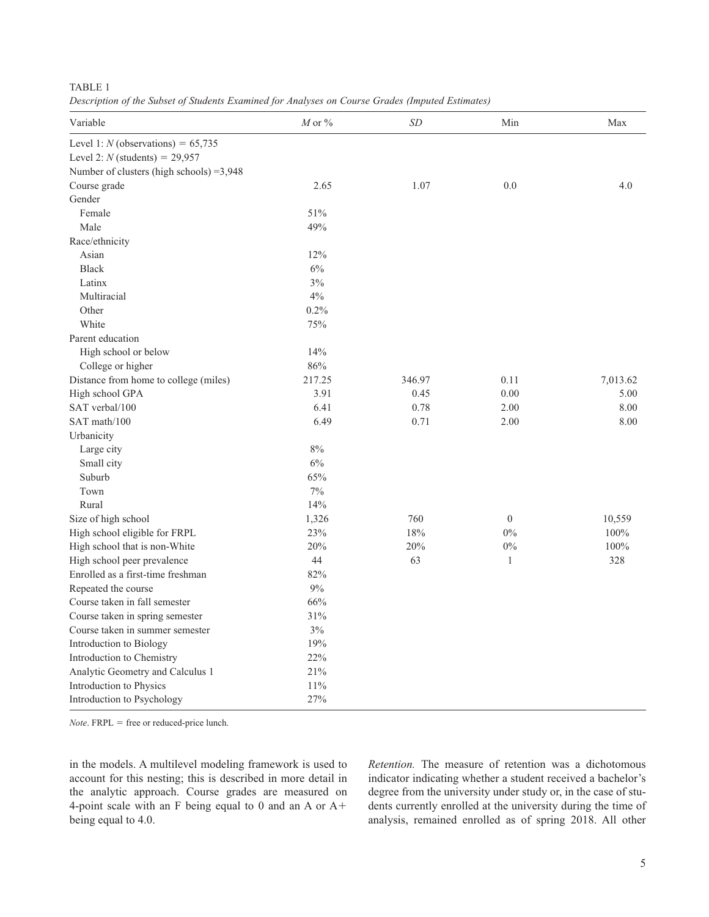|--|

*Description of the Subset of Students Examined for Analyses on Course Grades (Imputed Estimates)*

| Variable                                  | $M$ or $\%$ | <b>SD</b> | Min            | Max      |
|-------------------------------------------|-------------|-----------|----------------|----------|
| Level 1: $N$ (observations) = 65,735      |             |           |                |          |
| Level 2: $N$ (students) = 29,957          |             |           |                |          |
| Number of clusters (high schools) = 3,948 |             |           |                |          |
| Course grade                              | 2.65        | 1.07      | 0.0            | 4.0      |
| Gender                                    |             |           |                |          |
| Female                                    | 51%         |           |                |          |
| Male                                      | 49%         |           |                |          |
| Race/ethnicity                            |             |           |                |          |
| Asian                                     | 12%         |           |                |          |
| <b>Black</b>                              | 6%          |           |                |          |
| Latinx                                    | $3\%$       |           |                |          |
| Multiracial                               | 4%          |           |                |          |
| Other                                     | $0.2\%$     |           |                |          |
| White                                     | 75%         |           |                |          |
| Parent education                          |             |           |                |          |
| High school or below                      | 14%         |           |                |          |
| College or higher                         | $86\%$      |           |                |          |
| Distance from home to college (miles)     | 217.25      | 346.97    | 0.11           | 7,013.62 |
| High school GPA                           | 3.91        | 0.45      | 0.00           | 5.00     |
| SAT verbal/100                            | 6.41        | 0.78      | 2.00           | 8.00     |
| SAT math/100                              | 6.49        | 0.71      | 2.00           | 8.00     |
| Urbanicity                                |             |           |                |          |
| Large city                                | $8\%$       |           |                |          |
| Small city                                | 6%          |           |                |          |
| Suburb                                    | 65%         |           |                |          |
| Town                                      | 7%          |           |                |          |
| Rural                                     | 14%         |           |                |          |
| Size of high school                       | 1,326       | 760       | $\overline{0}$ | 10,559   |
| High school eligible for FRPL             | 23%         | 18%       | $0\%$          | 100%     |
| High school that is non-White             | 20%         | 20%       | $0\%$          | 100%     |
| High school peer prevalence               | 44          | 63        | $\mathbf{1}$   | 328      |
| Enrolled as a first-time freshman         | 82%         |           |                |          |
| Repeated the course                       | $9\%$       |           |                |          |
| Course taken in fall semester             | 66%         |           |                |          |
| Course taken in spring semester           | 31%         |           |                |          |
| Course taken in summer semester           | 3%          |           |                |          |
| Introduction to Biology                   | 19%         |           |                |          |
| Introduction to Chemistry                 | 22%         |           |                |          |
| Analytic Geometry and Calculus 1          | 21%         |           |                |          |
| Introduction to Physics                   | 11%         |           |                |          |
| Introduction to Psychology                | 27%         |           |                |          |

*Note*. FRPL = free or reduced-price lunch.

in the models. A multilevel modeling framework is used to account for this nesting; this is described in more detail in the analytic approach. Course grades are measured on 4-point scale with an F being equal to 0 and an A or A+ being equal to 4.0.

*Retention.* The measure of retention was a dichotomous indicator indicating whether a student received a bachelor's degree from the university under study or, in the case of students currently enrolled at the university during the time of analysis, remained enrolled as of spring 2018. All other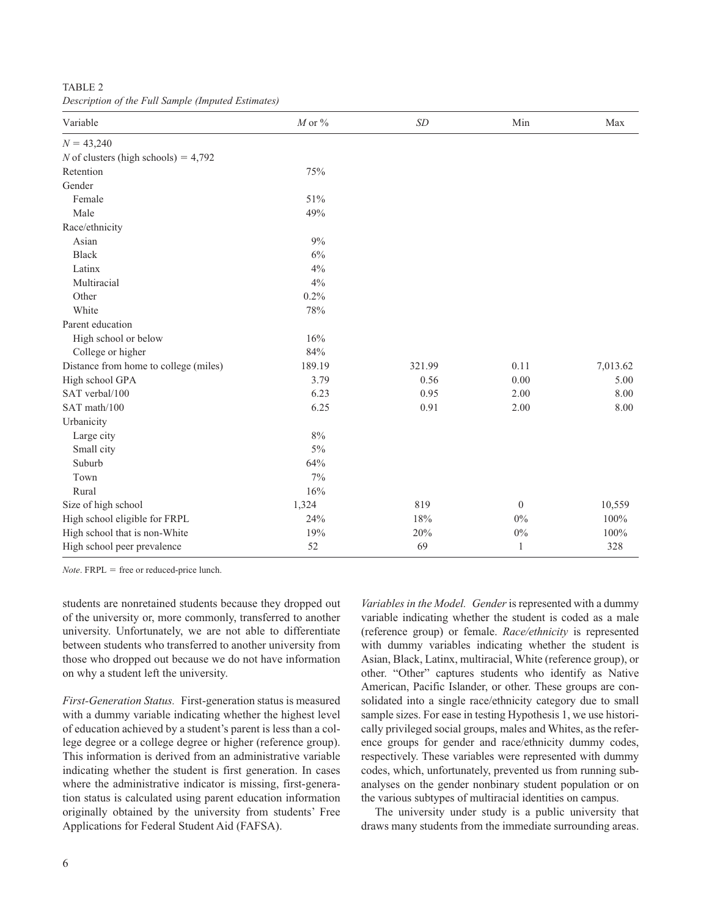TABLE 2 *Description of the Full Sample (Imputed Estimates)*

| Variable                               | $M$ or $\%$ | $\ensuremath{\mathit{SD}}$ | Min          | Max      |
|----------------------------------------|-------------|----------------------------|--------------|----------|
| $N = 43,240$                           |             |                            |              |          |
| N of clusters (high schools) = $4,792$ |             |                            |              |          |
| Retention                              | 75%         |                            |              |          |
| Gender                                 |             |                            |              |          |
| Female                                 | 51%         |                            |              |          |
| Male                                   | 49%         |                            |              |          |
| Race/ethnicity                         |             |                            |              |          |
| Asian                                  | $9\%$       |                            |              |          |
| <b>Black</b>                           | 6%          |                            |              |          |
| Latinx                                 | 4%          |                            |              |          |
| Multiracial                            | $4\%$       |                            |              |          |
| Other                                  | 0.2%        |                            |              |          |
| White                                  | 78%         |                            |              |          |
| Parent education                       |             |                            |              |          |
| High school or below                   | 16%         |                            |              |          |
| College or higher                      | 84%         |                            |              |          |
| Distance from home to college (miles)  | 189.19      | 321.99                     | 0.11         | 7,013.62 |
| High school GPA                        | 3.79        | 0.56                       | 0.00         | 5.00     |
| SAT verbal/100                         | 6.23        | 0.95                       | 2.00         | 8.00     |
| SAT math/100                           | 6.25        | 0.91                       | 2.00         | 8.00     |
| Urbanicity                             |             |                            |              |          |
| Large city                             | $8\%$       |                            |              |          |
| Small city                             | $5\%$       |                            |              |          |
| Suburb                                 | 64%         |                            |              |          |
| Town                                   | $7\%$       |                            |              |          |
| Rural                                  | 16%         |                            |              |          |
| Size of high school                    | 1,324       | 819                        | $\mathbf{0}$ | 10,559   |
| High school eligible for FRPL          | 24%         | 18%                        | 0%           | 100%     |
| High school that is non-White          | 19%         | 20%                        | $0\%$        | 100%     |
| High school peer prevalence            | 52          | 69                         | $\mathbf{1}$ | 328      |

*Note*. FRPL = free or reduced-price lunch.

students are nonretained students because they dropped out of the university or, more commonly, transferred to another university. Unfortunately, we are not able to differentiate between students who transferred to another university from those who dropped out because we do not have information on why a student left the university.

*First-Generation Status.* First-generation status is measured with a dummy variable indicating whether the highest level of education achieved by a student's parent is less than a college degree or a college degree or higher (reference group). This information is derived from an administrative variable indicating whether the student is first generation. In cases where the administrative indicator is missing, first-generation status is calculated using parent education information originally obtained by the university from students' Free Applications for Federal Student Aid (FAFSA).

*Variables in the Model. Gender* is represented with a dummy variable indicating whether the student is coded as a male (reference group) or female. *Race/ethnicity* is represented with dummy variables indicating whether the student is Asian, Black, Latinx, multiracial, White (reference group), or other. "Other" captures students who identify as Native American, Pacific Islander, or other. These groups are consolidated into a single race/ethnicity category due to small sample sizes. For ease in testing Hypothesis 1, we use historically privileged social groups, males and Whites, as the reference groups for gender and race/ethnicity dummy codes, respectively. These variables were represented with dummy codes, which, unfortunately, prevented us from running subanalyses on the gender nonbinary student population or on the various subtypes of multiracial identities on campus.

The university under study is a public university that draws many students from the immediate surrounding areas.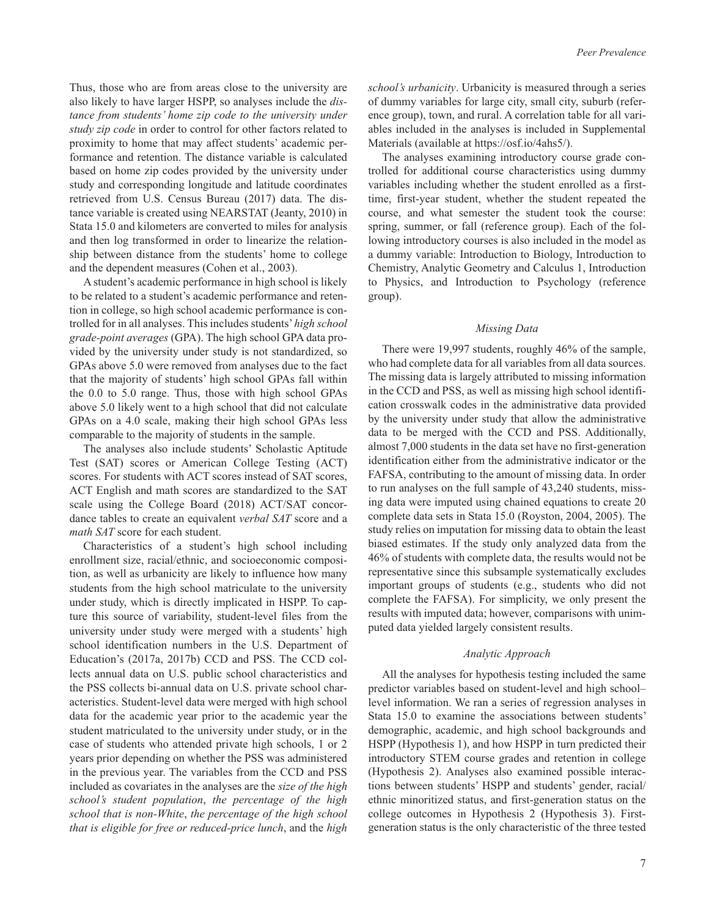Thus, those who are from areas close to the university are also likely to have larger HSPP, so analyses include the *distance from students' home zip code to the university under study zip code* in order to control for other factors related to proximity to home that may affect students' academic performance and retention. The distance variable is calculated based on home zip codes provided by the university under study and corresponding longitude and latitude coordinates retrieved from U.S. Census Bureau (2017) data. The distance variable is created using NEARSTAT (Jeanty, 2010) in Stata 15.0 and kilometers are converted to miles for analysis and then log transformed in order to linearize the relationship between distance from the students' home to college and the dependent measures (Cohen et al., 2003).

A student's academic performance in high school is likely to be related to a student's academic performance and retention in college, so high school academic performance is controlled for in all analyses. This includes students' *high school grade-point averages* (GPA). The high school GPA data provided by the university under study is not standardized, so GPAs above 5.0 were removed from analyses due to the fact that the majority of students' high school GPAs fall within the 0.0 to 5.0 range. Thus, those with high school GPAs above 5.0 likely went to a high school that did not calculate GPAs on a 4.0 scale, making their high school GPAs less comparable to the majority of students in the sample.

The analyses also include students' Scholastic Aptitude Test (SAT) scores or American College Testing (ACT) scores. For students with ACT scores instead of SAT scores, ACT English and math scores are standardized to the SAT scale using the College Board (2018) ACT/SAT concordance tables to create an equivalent *verbal SAT* score and a *math SAT* score for each student.

Characteristics of a student's high school including enrollment size, racial/ethnic, and socioeconomic composition, as well as urbanicity are likely to influence how many students from the high school matriculate to the university under study, which is directly implicated in HSPP. To capture this source of variability, student-level files from the university under study were merged with a students' high school identification numbers in the U.S. Department of Education's (2017a, 2017b) CCD and PSS. The CCD collects annual data on U.S. public school characteristics and the PSS collects bi-annual data on U.S. private school characteristics. Student-level data were merged with high school data for the academic year prior to the academic year the student matriculated to the university under study, or in the case of students who attended private high schools, 1 or 2 years prior depending on whether the PSS was administered in the previous year. The variables from the CCD and PSS included as covariates in the analyses are the *size of the high school's student population*, *the percentage of the high school that is non-White*, *the percentage of the high school that is eligible for free or reduced-price lunch*, and the *high* 

*school's urbanicity*. Urbanicity is measured through a series of dummy variables for large city, small city, suburb (reference group), town, and rural. A correlation table for all variables included in the analyses is included in Supplemental Materials (available at <https://osf.io/4ahs5/>).

The analyses examining introductory course grade controlled for additional course characteristics using dummy variables including whether the student enrolled as a firsttime, first-year student, whether the student repeated the course, and what semester the student took the course: spring, summer, or fall (reference group). Each of the following introductory courses is also included in the model as a dummy variable: Introduction to Biology, Introduction to Chemistry, Analytic Geometry and Calculus 1, Introduction to Physics, and Introduction to Psychology (reference group).

## *Missing Data*

There were 19,997 students, roughly 46% of the sample, who had complete data for all variables from all data sources. The missing data is largely attributed to missing information in the CCD and PSS, as well as missing high school identification crosswalk codes in the administrative data provided by the university under study that allow the administrative data to be merged with the CCD and PSS. Additionally, almost 7,000 students in the data set have no first-generation identification either from the administrative indicator or the FAFSA, contributing to the amount of missing data. In order to run analyses on the full sample of 43,240 students, missing data were imputed using chained equations to create 20 complete data sets in Stata 15.0 (Royston, 2004, 2005). The study relies on imputation for missing data to obtain the least biased estimates. If the study only analyzed data from the 46% of students with complete data, the results would not be representative since this subsample systematically excludes important groups of students (e.g., students who did not complete the FAFSA). For simplicity, we only present the results with imputed data; however, comparisons with unimputed data yielded largely consistent results.

## *Analytic Approach*

All the analyses for hypothesis testing included the same predictor variables based on student-level and high school– level information. We ran a series of regression analyses in Stata 15.0 to examine the associations between students' demographic, academic, and high school backgrounds and HSPP (Hypothesis 1), and how HSPP in turn predicted their introductory STEM course grades and retention in college (Hypothesis 2). Analyses also examined possible interactions between students' HSPP and students' gender, racial/ ethnic minoritized status, and first-generation status on the college outcomes in Hypothesis 2 (Hypothesis 3). Firstgeneration status is the only characteristic of the three tested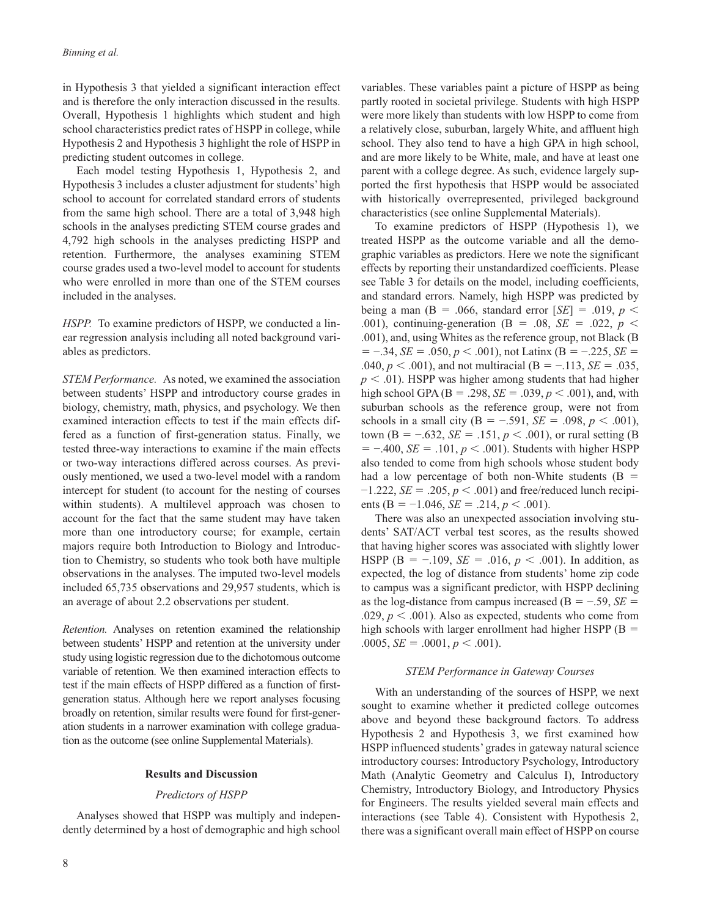in Hypothesis 3 that yielded a significant interaction effect and is therefore the only interaction discussed in the results. Overall, Hypothesis 1 highlights which student and high school characteristics predict rates of HSPP in college, while Hypothesis 2 and Hypothesis 3 highlight the role of HSPP in predicting student outcomes in college.

Each model testing Hypothesis 1, Hypothesis 2, and Hypothesis 3 includes a cluster adjustment for students' high school to account for correlated standard errors of students from the same high school. There are a total of 3,948 high schools in the analyses predicting STEM course grades and 4,792 high schools in the analyses predicting HSPP and retention. Furthermore, the analyses examining STEM course grades used a two-level model to account for students who were enrolled in more than one of the STEM courses included in the analyses.

*HSPP.* To examine predictors of HSPP, we conducted a linear regression analysis including all noted background variables as predictors.

*STEM Performance.* As noted, we examined the association between students' HSPP and introductory course grades in biology, chemistry, math, physics, and psychology. We then examined interaction effects to test if the main effects differed as a function of first-generation status. Finally, we tested three-way interactions to examine if the main effects or two-way interactions differed across courses. As previously mentioned, we used a two-level model with a random intercept for student (to account for the nesting of courses within students). A multilevel approach was chosen to account for the fact that the same student may have taken more than one introductory course; for example, certain majors require both Introduction to Biology and Introduction to Chemistry, so students who took both have multiple observations in the analyses. The imputed two-level models included 65,735 observations and 29,957 students, which is an average of about 2.2 observations per student.

*Retention.* Analyses on retention examined the relationship between students' HSPP and retention at the university under study using logistic regression due to the dichotomous outcome variable of retention. We then examined interaction effects to test if the main effects of HSPP differed as a function of firstgeneration status. Although here we report analyses focusing broadly on retention, similar results were found for first-generation students in a narrower examination with college graduation as the outcome (see online Supplemental Materials).

## **Results and Discussion**

## *Predictors of HSPP*

Analyses showed that HSPP was multiply and independently determined by a host of demographic and high school

8

variables. These variables paint a picture of HSPP as being partly rooted in societal privilege. Students with high HSPP were more likely than students with low HSPP to come from a relatively close, suburban, largely White, and affluent high school. They also tend to have a high GPA in high school, and are more likely to be White, male, and have at least one parent with a college degree. As such, evidence largely supported the first hypothesis that HSPP would be associated with historically overrepresented, privileged background characteristics (see online Supplemental Materials).

To examine predictors of HSPP (Hypothesis 1), we treated HSPP as the outcome variable and all the demographic variables as predictors. Here we note the significant effects by reporting their unstandardized coefficients. Please see Table 3 for details on the model, including coefficients, and standard errors. Namely, high HSPP was predicted by being a man ( $B = .066$ , standard error [ $SE$ ] = .019,  $p <$ .001), continuing-generation (Β = .08, *SE* = .022, *p* < .001), and, using Whites as the reference group, not Black (Β  $= -0.34$ , *SE* = .050, *p* < .001), not Latinx (B = -.225, *SE* = .040, *p* < .001), and not multiracial (Β = −.113, *SE* = .035,  $p < .01$ ). HSPP was higher among students that had higher high school GPA ( $B = .298$ ,  $SE = .039$ ,  $p < .001$ ), and, with suburban schools as the reference group, were not from schools in a small city ( $B = -.591$ ,  $SE = .098$ ,  $p < .001$ ), town ( $B = -.632$ ,  $SE = .151$ ,  $p < .001$ ), or rural setting (B) = −.400, *SE* = .101, *p* < .001). Students with higher HSPP also tended to come from high schools whose student body had a low percentage of both non-White students  $(B =$  $-1.222$ , *SE* = .205,  $p < .001$ ) and free/reduced lunch recipients (B =  $-1.046$ , *SE* = .214, *p* < .001).

There was also an unexpected association involving students' SAT/ACT verbal test scores, as the results showed that having higher scores was associated with slightly lower HSPP (B =  $-109$ , *SE* = .016,  $p < .001$ ). In addition, as expected, the log of distance from students' home zip code to campus was a significant predictor, with HSPP declining as the log-distance from campus increased ( $B = -0.59$ , *SE* = .029,  $p < .001$ ). Also as expected, students who come from high schools with larger enrollment had higher HSPP ( $B =$  $.0005, SE = .0001, p < .001$ .

#### *STEM Performance in Gateway Courses*

With an understanding of the sources of HSPP, we next sought to examine whether it predicted college outcomes above and beyond these background factors. To address Hypothesis 2 and Hypothesis 3, we first examined how HSPP influenced students' grades in gateway natural science introductory courses: Introductory Psychology, Introductory Math (Analytic Geometry and Calculus I), Introductory Chemistry, Introductory Biology, and Introductory Physics for Engineers. The results yielded several main effects and interactions (see Table 4). Consistent with Hypothesis 2, there was a significant overall main effect of HSPP on course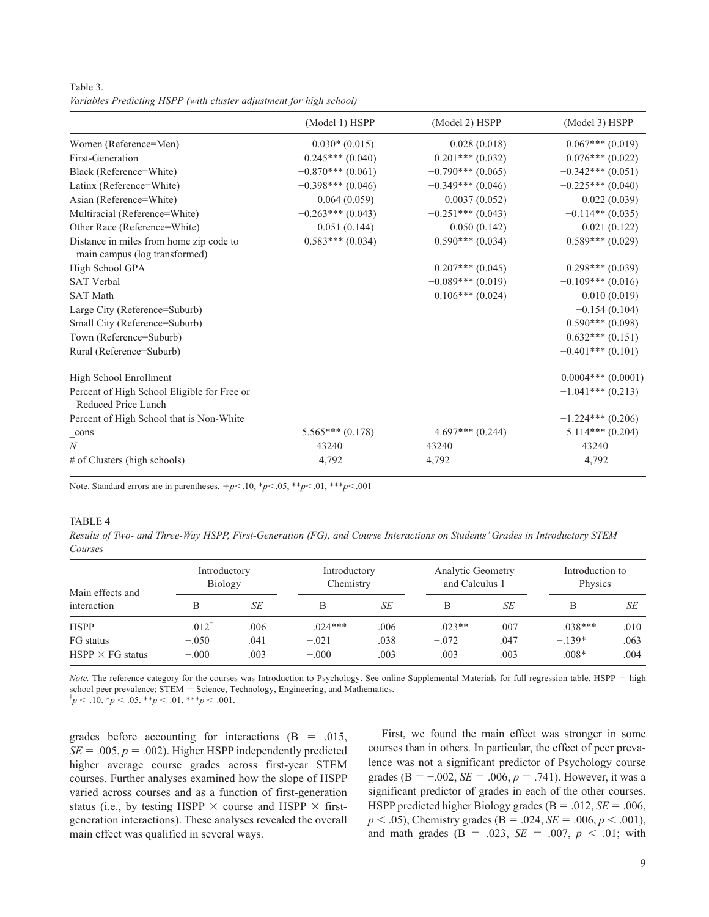Table 3. *Variables Predicting HSPP (with cluster adjustment for high school)*

|                                                                          | (Model 1) HSPP      | (Model 2) HSPP      | (Model 3) HSPP       |
|--------------------------------------------------------------------------|---------------------|---------------------|----------------------|
| Women (Reference=Men)                                                    | $-0.030*(0.015)$    | $-0.028(0.018)$     | $-0.067***(0.019)$   |
| First-Generation                                                         | $-0.245***(0.040)$  | $-0.201***$ (0.032) | $-0.076***(0.022)$   |
| Black (Reference=White)                                                  | $-0.870***(0.061)$  | $-0.790***(0.065)$  | $-0.342***(0.051)$   |
| Latinx (Reference=White)                                                 | $-0.398***$ (0.046) | $-0.349***$ (0.046) | $-0.225***(0.040)$   |
| Asian (Reference=White)                                                  | 0.064(0.059)        | 0.0037(0.052)       | 0.022(0.039)         |
| Multiracial (Reference=White)                                            | $-0.263***(0.043)$  | $-0.251***(0.043)$  | $-0.114**$ (0.035)   |
| Other Race (Reference=White)                                             | $-0.051(0.144)$     | $-0.050(0.142)$     | 0.021(0.122)         |
| Distance in miles from home zip code to<br>main campus (log transformed) | $-0.583***(0.034)$  | $-0.590***$ (0.034) | $-0.589***(0.029)$   |
| High School GPA                                                          |                     | $0.207***(0.045)$   | $0.298***(0.039)$    |
| <b>SAT Verbal</b>                                                        |                     | $-0.089***$ (0.019) | $-0.109***$ (0.016)  |
| <b>SAT Math</b>                                                          |                     | $0.106***(0.024)$   | 0.010(0.019)         |
| Large City (Reference=Suburb)                                            |                     |                     | $-0.154(0.104)$      |
| Small City (Reference=Suburb)                                            |                     |                     | $-0.590***$ (0.098)  |
| Town (Reference=Suburb)                                                  |                     |                     | $-0.632***(0.151)$   |
| Rural (Reference=Suburb)                                                 |                     |                     | $-0.401***(0.101)$   |
| High School Enrollment                                                   |                     |                     | $0.0004***$ (0.0001) |
| Percent of High School Eligible for Free or<br>Reduced Price Lunch       |                     |                     | $-1.041***(0.213)$   |
| Percent of High School that is Non-White                                 |                     |                     | $-1.224***(0.206)$   |
| $\_cons$                                                                 | $5.565***(0.178)$   | $4.697***(0.244)$   | $5.114***(0.204)$    |
| $\boldsymbol{N}$                                                         | 43240               | 43240               | 43240                |
| $#$ of Clusters (high schools)                                           | 4,792               | 4,792               | 4,792                |

Note. Standard errors are in parentheses.  $+p<.10$ ,  ${}^*p<.05$ ,  ${}^**p<.01$ ,  ${}^{**}p<.001$ 

## TABLE<sub>4</sub>

*Results of Two- and Three-Way HSPP, First-Generation (FG), and Course Interactions on Students' Grades in Introductory STEM Courses*

| Main effects and        | Introductory<br>Biology |      | Introductory<br>Chemistry |      | <b>Analytic Geometry</b><br>and Calculus 1 |      | Introduction to<br>Physics |      |
|-------------------------|-------------------------|------|---------------------------|------|--------------------------------------------|------|----------------------------|------|
| interaction             | B                       | SE   | В                         | SE   | В                                          | SE   | B                          | SЕ   |
| <b>HSPP</b>             | $.012^{\dagger}$        | .006 | $.024***$                 | .006 | $.023**$                                   | .007 | $.038***$                  | .010 |
| FG status               | $-.050$                 | .041 | $-.021$                   | .038 | $-.072$                                    | .047 | $-.139*$                   | .063 |
| $HSPP \times FG$ status | $-.000$                 | .003 | $-.000$                   | .003 | .003                                       | .003 | $.008*$                    | .004 |

*Note.* The reference category for the courses was Introduction to Psychology. See online Supplemental Materials for full regression table. HSPP = high school peer prevalence; STEM = Science, Technology, Engineering, and Mathematics.  $\phi_p$  < .10.  $\phi_p$  < .05.  $\phi_p$  < .01.  $\phi_p$  < .001.

grades before accounting for interactions  $(B = .015,$  $SE = .005$ ,  $p = .002$ ). Higher HSPP independently predicted higher average course grades across first-year STEM courses. Further analyses examined how the slope of HSPP varied across courses and as a function of first-generation status (i.e., by testing HSPP  $\times$  course and HSPP  $\times$  firstgeneration interactions). These analyses revealed the overall main effect was qualified in several ways.

First, we found the main effect was stronger in some courses than in others. In particular, the effect of peer prevalence was not a significant predictor of Psychology course grades ( $B = -0.002$ ,  $SE = 0.006$ ,  $p = 0.741$ ). However, it was a significant predictor of grades in each of the other courses. HSPP predicted higher Biology grades (Β = .012, *SE* = .006, *p* < .05), Chemistry grades (B = .024, *SE* = .006, *p* < .001), and math grades ( $B = .023$ ,  $SE = .007$ ,  $p < .01$ ; with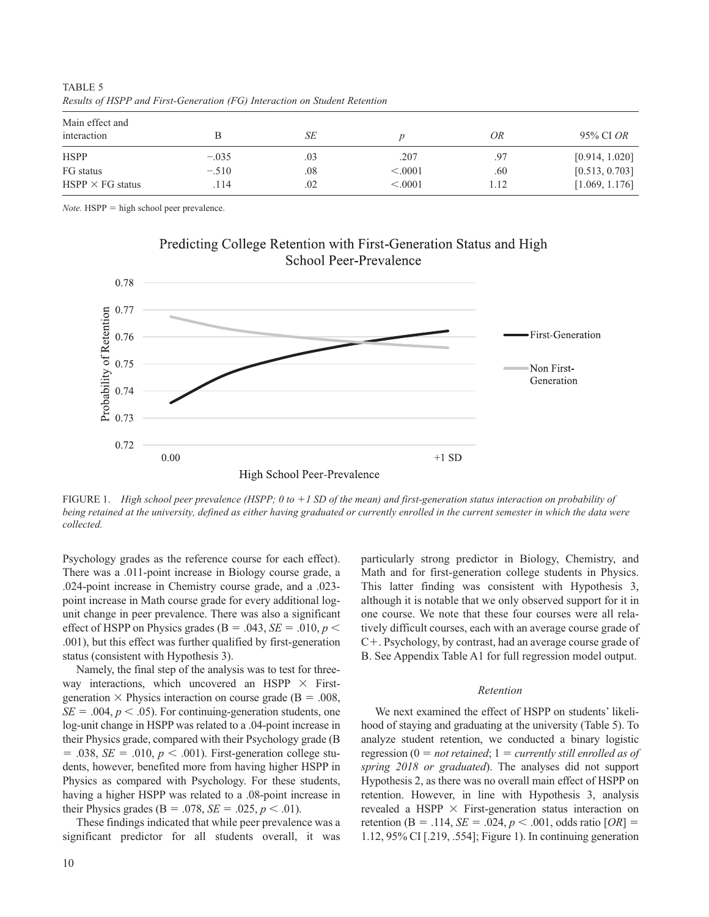| Main effect and<br>interaction |         | SE  |          | OR   | 95% CI OR      |
|--------------------------------|---------|-----|----------|------|----------------|
| <b>HSPP</b>                    | $-.035$ | .03 | .207     | .97  | [0.914, 1.020] |
| FG status                      | $-.510$ | .08 | < 0.0001 | .60  | [0.513, 0.703] |
| $HSPP \times FG$ status        | .114    | .02 | < 0.0001 | 1.12 | [1.069, 1.176] |

Predicting College Retention with First-Generation Status and High

TABLE 5 *Results of HSPP and First-Generation (FG) Interaction on Student Retention*

*Note.* HSPP = high school peer prevalence.



FIGURE 1. *High school peer prevalence (HSPP; 0 to +1 SD of the mean) and first-generation status interaction on probability of being retained at the university, defined as either having graduated or currently enrolled in the current semester in which the data were collected.*

Psychology grades as the reference course for each effect). There was a .011-point increase in Biology course grade, a .024-point increase in Chemistry course grade, and a .023 point increase in Math course grade for every additional logunit change in peer prevalence. There was also a significant effect of HSPP on Physics grades ( $B = .043$ ,  $SE = .010$ ,  $p <$ .001), but this effect was further qualified by first-generation status (consistent with Hypothesis 3).

Namely, the final step of the analysis was to test for threeway interactions, which uncovered an HSPP  $\times$  Firstgeneration  $\times$  Physics interaction on course grade (B = .008,  $SE = .004$ ,  $p < .05$ ). For continuing-generation students, one log-unit change in HSPP was related to a .04-point increase in their Physics grade, compared with their Psychology grade (Β  $= .038$ , *SE*  $= .010$ ,  $p < .001$ ). First-generation college students, however, benefited more from having higher HSPP in Physics as compared with Psychology. For these students, having a higher HSPP was related to a .08-point increase in their Physics grades ( $B = .078$ ,  $SE = .025$ ,  $p < .01$ ).

These findings indicated that while peer prevalence was a significant predictor for all students overall, it was particularly strong predictor in Biology, Chemistry, and Math and for first-generation college students in Physics. This latter finding was consistent with Hypothesis 3, although it is notable that we only observed support for it in one course. We note that these four courses were all relatively difficult courses, each with an average course grade of C+. Psychology, by contrast, had an average course grade of B. See Appendix Table A1 for full regression model output.

# *Retention*

We next examined the effect of HSPP on students' likelihood of staying and graduating at the university (Table 5). To analyze student retention, we conducted a binary logistic regression (0 = *not retained*; 1 = *currently still enrolled as of spring 2018 or graduated*). The analyses did not support Hypothesis 2, as there was no overall main effect of HSPP on retention. However, in line with Hypothesis 3, analysis revealed a HSPP  $\times$  First-generation status interaction on retention ( $B = .114$ ,  $SE = .024$ ,  $p < .001$ , odds ratio  $[OR] =$ 1.12, 95% CI [.219, .554]; Figure 1). In continuing generation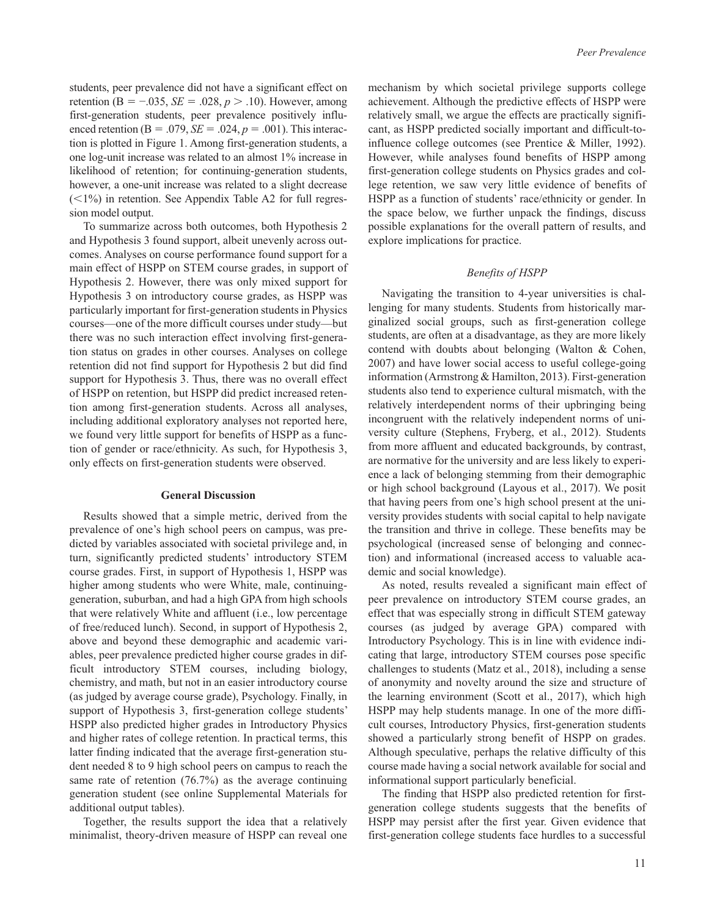students, peer prevalence did not have a significant effect on retention (Β = −.035, *SE* = .028, *p* > .10). However, among first-generation students, peer prevalence positively influenced retention ( $B = .079$ ,  $SE = .024$ ,  $p = .001$ ). This interaction is plotted in Figure 1. Among first-generation students, a one log-unit increase was related to an almost 1% increase in likelihood of retention; for continuing-generation students, however, a one-unit increase was related to a slight decrease  $(<1%)$  in retention. See Appendix Table A2 for full regression model output.

To summarize across both outcomes, both Hypothesis 2 and Hypothesis 3 found support, albeit unevenly across outcomes. Analyses on course performance found support for a main effect of HSPP on STEM course grades, in support of Hypothesis 2. However, there was only mixed support for Hypothesis 3 on introductory course grades, as HSPP was particularly important for first-generation students in Physics courses—one of the more difficult courses under study—but there was no such interaction effect involving first-generation status on grades in other courses. Analyses on college retention did not find support for Hypothesis 2 but did find support for Hypothesis 3. Thus, there was no overall effect of HSPP on retention, but HSPP did predict increased retention among first-generation students. Across all analyses, including additional exploratory analyses not reported here, we found very little support for benefits of HSPP as a function of gender or race/ethnicity. As such, for Hypothesis 3, only effects on first-generation students were observed.

# **General Discussion**

Results showed that a simple metric, derived from the prevalence of one's high school peers on campus, was predicted by variables associated with societal privilege and, in turn, significantly predicted students' introductory STEM course grades. First, in support of Hypothesis 1, HSPP was higher among students who were White, male, continuinggeneration, suburban, and had a high GPA from high schools that were relatively White and affluent (i.e., low percentage of free/reduced lunch). Second, in support of Hypothesis 2, above and beyond these demographic and academic variables, peer prevalence predicted higher course grades in difficult introductory STEM courses, including biology, chemistry, and math, but not in an easier introductory course (as judged by average course grade), Psychology. Finally, in support of Hypothesis 3, first-generation college students' HSPP also predicted higher grades in Introductory Physics and higher rates of college retention. In practical terms, this latter finding indicated that the average first-generation student needed 8 to 9 high school peers on campus to reach the same rate of retention (76.7%) as the average continuing generation student (see online Supplemental Materials for additional output tables).

Together, the results support the idea that a relatively minimalist, theory-driven measure of HSPP can reveal one mechanism by which societal privilege supports college achievement. Although the predictive effects of HSPP were relatively small, we argue the effects are practically significant, as HSPP predicted socially important and difficult-toinfluence college outcomes (see Prentice & Miller, 1992). However, while analyses found benefits of HSPP among first-generation college students on Physics grades and college retention, we saw very little evidence of benefits of HSPP as a function of students' race/ethnicity or gender. In the space below, we further unpack the findings, discuss possible explanations for the overall pattern of results, and explore implications for practice.

# *Benefits of HSPP*

Navigating the transition to 4-year universities is challenging for many students. Students from historically marginalized social groups, such as first-generation college students, are often at a disadvantage, as they are more likely contend with doubts about belonging (Walton & Cohen, 2007) and have lower social access to useful college-going information (Armstrong & Hamilton, 2013). First-generation students also tend to experience cultural mismatch, with the relatively interdependent norms of their upbringing being incongruent with the relatively independent norms of university culture (Stephens, Fryberg, et al., 2012). Students from more affluent and educated backgrounds, by contrast, are normative for the university and are less likely to experience a lack of belonging stemming from their demographic or high school background (Layous et al., 2017). We posit that having peers from one's high school present at the university provides students with social capital to help navigate the transition and thrive in college. These benefits may be psychological (increased sense of belonging and connection) and informational (increased access to valuable academic and social knowledge).

As noted, results revealed a significant main effect of peer prevalence on introductory STEM course grades, an effect that was especially strong in difficult STEM gateway courses (as judged by average GPA) compared with Introductory Psychology. This is in line with evidence indicating that large, introductory STEM courses pose specific challenges to students (Matz et al., 2018), including a sense of anonymity and novelty around the size and structure of the learning environment (Scott et al., 2017), which high HSPP may help students manage. In one of the more difficult courses, Introductory Physics, first-generation students showed a particularly strong benefit of HSPP on grades. Although speculative, perhaps the relative difficulty of this course made having a social network available for social and informational support particularly beneficial.

The finding that HSPP also predicted retention for firstgeneration college students suggests that the benefits of HSPP may persist after the first year. Given evidence that first-generation college students face hurdles to a successful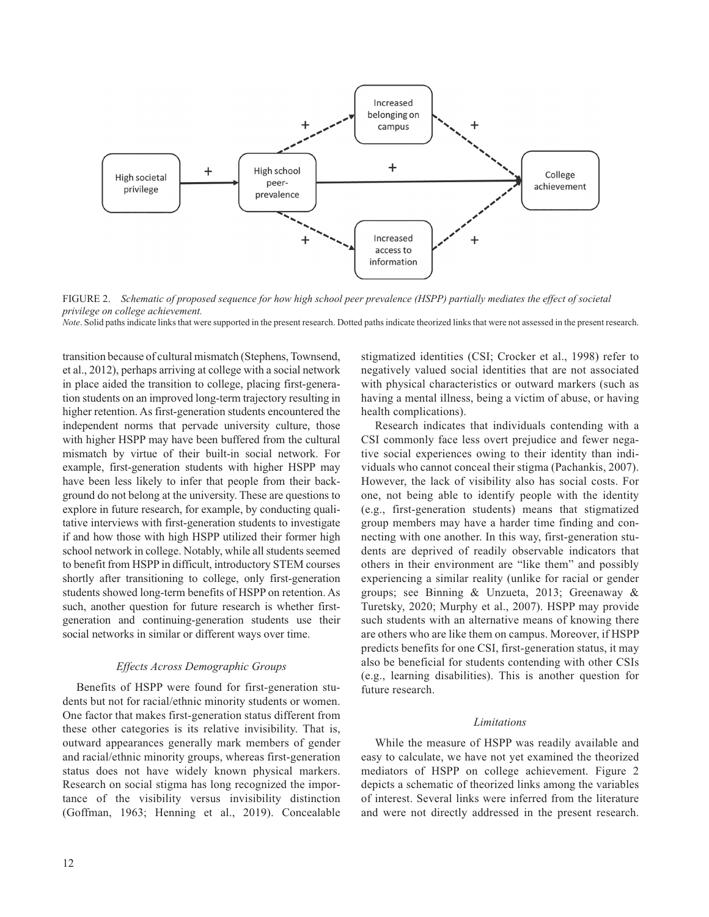

FIGURE 2. Schematic of proposed sequence for how high school peer prevalence (HSPP) partially mediates the effect of societal *privilege on college achievement.*

*Note*. Solid paths indicate links that were supported in the present research. Dotted paths indicate theorized links that were not assessed in the present research.

transition because of cultural mismatch (Stephens, Townsend, et al., 2012), perhaps arriving at college with a social network in place aided the transition to college, placing first-generation students on an improved long-term trajectory resulting in higher retention. As first-generation students encountered the independent norms that pervade university culture, those with higher HSPP may have been buffered from the cultural mismatch by virtue of their built-in social network. For example, first-generation students with higher HSPP may have been less likely to infer that people from their background do not belong at the university. These are questions to explore in future research, for example, by conducting qualitative interviews with first-generation students to investigate if and how those with high HSPP utilized their former high school network in college. Notably, while all students seemed to benefit from HSPP in difficult, introductory STEM courses shortly after transitioning to college, only first-generation students showed long-term benefits of HSPP on retention. As such, another question for future research is whether firstgeneration and continuing-generation students use their social networks in similar or different ways over time.

## *Effects Across Demographic Groups*

Benefits of HSPP were found for first-generation students but not for racial/ethnic minority students or women. One factor that makes first-generation status different from these other categories is its relative invisibility. That is, outward appearances generally mark members of gender and racial/ethnic minority groups, whereas first-generation status does not have widely known physical markers. Research on social stigma has long recognized the importance of the visibility versus invisibility distinction (Goffman, 1963; Henning et al., 2019). Concealable

stigmatized identities (CSI; Crocker et al., 1998) refer to negatively valued social identities that are not associated with physical characteristics or outward markers (such as having a mental illness, being a victim of abuse, or having health complications).

Research indicates that individuals contending with a CSI commonly face less overt prejudice and fewer negative social experiences owing to their identity than individuals who cannot conceal their stigma (Pachankis, 2007). However, the lack of visibility also has social costs. For one, not being able to identify people with the identity (e.g., first-generation students) means that stigmatized group members may have a harder time finding and connecting with one another. In this way, first-generation students are deprived of readily observable indicators that others in their environment are "like them" and possibly experiencing a similar reality (unlike for racial or gender groups; see Binning & Unzueta, 2013; Greenaway & Turetsky, 2020; Murphy et al., 2007). HSPP may provide such students with an alternative means of knowing there are others who are like them on campus. Moreover, if HSPP predicts benefits for one CSI, first-generation status, it may also be beneficial for students contending with other CSIs (e.g., learning disabilities). This is another question for future research.

#### *Limitations*

While the measure of HSPP was readily available and easy to calculate, we have not yet examined the theorized mediators of HSPP on college achievement. Figure 2 depicts a schematic of theorized links among the variables of interest. Several links were inferred from the literature and were not directly addressed in the present research.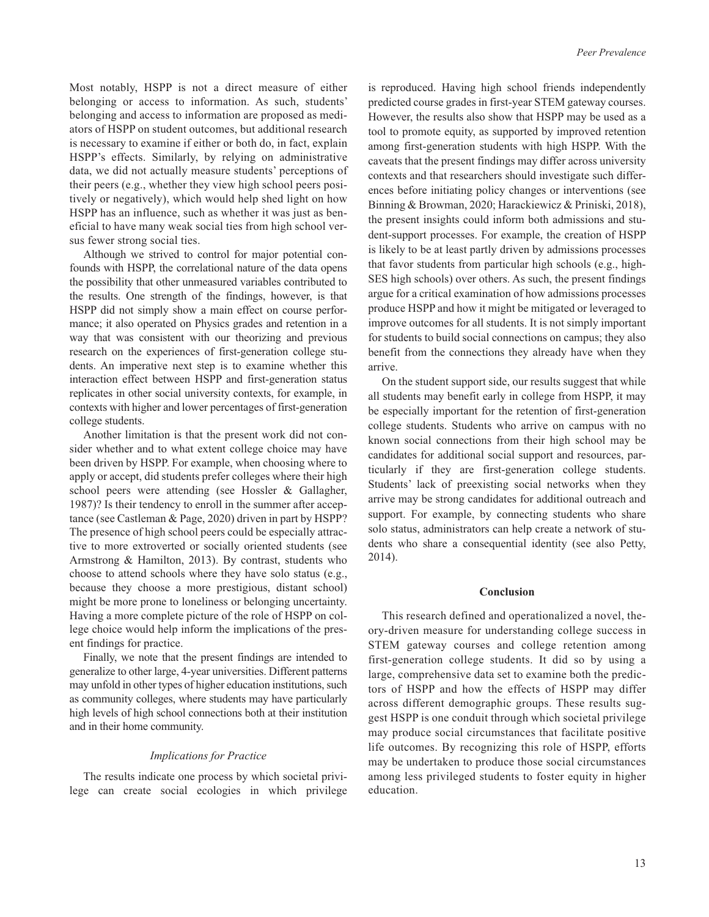Most notably, HSPP is not a direct measure of either belonging or access to information. As such, students' belonging and access to information are proposed as mediators of HSPP on student outcomes, but additional research is necessary to examine if either or both do, in fact, explain HSPP's effects. Similarly, by relying on administrative data, we did not actually measure students' perceptions of their peers (e.g., whether they view high school peers positively or negatively), which would help shed light on how HSPP has an influence, such as whether it was just as beneficial to have many weak social ties from high school versus fewer strong social ties.

Although we strived to control for major potential confounds with HSPP, the correlational nature of the data opens the possibility that other unmeasured variables contributed to the results. One strength of the findings, however, is that HSPP did not simply show a main effect on course performance; it also operated on Physics grades and retention in a way that was consistent with our theorizing and previous research on the experiences of first-generation college students. An imperative next step is to examine whether this interaction effect between HSPP and first-generation status replicates in other social university contexts, for example, in contexts with higher and lower percentages of first-generation college students.

Another limitation is that the present work did not consider whether and to what extent college choice may have been driven by HSPP. For example, when choosing where to apply or accept, did students prefer colleges where their high school peers were attending (see Hossler & Gallagher, 1987)? Is their tendency to enroll in the summer after acceptance (see Castleman & Page, 2020) driven in part by HSPP? The presence of high school peers could be especially attractive to more extroverted or socially oriented students (see Armstrong & Hamilton, 2013). By contrast, students who choose to attend schools where they have solo status (e.g., because they choose a more prestigious, distant school) might be more prone to loneliness or belonging uncertainty. Having a more complete picture of the role of HSPP on college choice would help inform the implications of the present findings for practice.

Finally, we note that the present findings are intended to generalize to other large, 4-year universities. Different patterns may unfold in other types of higher education institutions, such as community colleges, where students may have particularly high levels of high school connections both at their institution and in their home community.

#### *Implications for Practice*

The results indicate one process by which societal privilege can create social ecologies in which privilege is reproduced. Having high school friends independently predicted course grades in first-year STEM gateway courses. However, the results also show that HSPP may be used as a tool to promote equity, as supported by improved retention among first-generation students with high HSPP. With the caveats that the present findings may differ across university contexts and that researchers should investigate such differences before initiating policy changes or interventions (see Binning & Browman, 2020; Harackiewicz & Priniski, 2018), the present insights could inform both admissions and student-support processes. For example, the creation of HSPP is likely to be at least partly driven by admissions processes that favor students from particular high schools (e.g., high-SES high schools) over others. As such, the present findings argue for a critical examination of how admissions processes produce HSPP and how it might be mitigated or leveraged to improve outcomes for all students. It is not simply important for students to build social connections on campus; they also benefit from the connections they already have when they arrive.

On the student support side, our results suggest that while all students may benefit early in college from HSPP, it may be especially important for the retention of first-generation college students. Students who arrive on campus with no known social connections from their high school may be candidates for additional social support and resources, particularly if they are first-generation college students. Students' lack of preexisting social networks when they arrive may be strong candidates for additional outreach and support. For example, by connecting students who share solo status, administrators can help create a network of students who share a consequential identity (see also Petty, 2014).

## **Conclusion**

This research defined and operationalized a novel, theory-driven measure for understanding college success in STEM gateway courses and college retention among first-generation college students. It did so by using a large, comprehensive data set to examine both the predictors of HSPP and how the effects of HSPP may differ across different demographic groups. These results suggest HSPP is one conduit through which societal privilege may produce social circumstances that facilitate positive life outcomes. By recognizing this role of HSPP, efforts may be undertaken to produce those social circumstances among less privileged students to foster equity in higher education.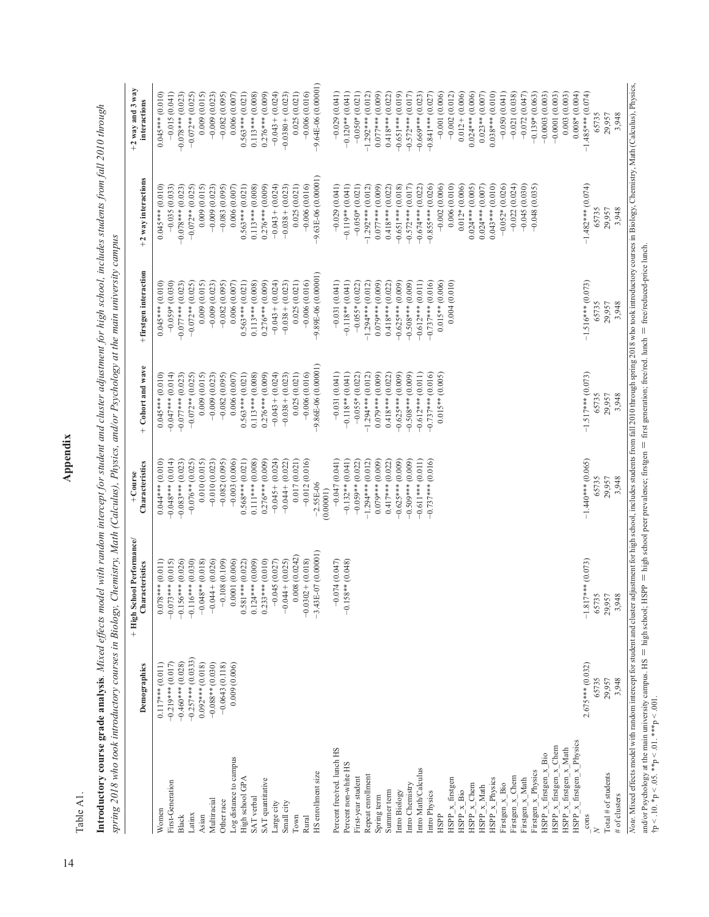Appendix 14<br>**14**<br>**14**<br>**14** 

Table A1. Table A1.

**Introductory course grade analysis**. Mixed effects model with random intercept for student and cluster adjustment for high school, includes students from fall 2010 through<br>spring 2018 who took introductory courses in Biol **Introductory course grade analysis***. Mixed effects model with random intercept for student and cluster adjustment for high school, includes students from fall 2010 through spring 2018 who took introductory courses in Biology, Chemistry, Math (Calculus), Physics, and/or Psychology at the main university campus*

|                                                      | Demographics         | + High School Performance/<br>Characteristics                                                                                                                                                                                  | Characteristics<br>+Course | + Cohort and wave    | +firstgen interaction | +2 way interactions                | $+2$ way and 3 way<br>interactions |
|------------------------------------------------------|----------------------|--------------------------------------------------------------------------------------------------------------------------------------------------------------------------------------------------------------------------------|----------------------------|----------------------|-----------------------|------------------------------------|------------------------------------|
| Women                                                | $0.117***$ (0.011)   | $0.078***$ (0.011)                                                                                                                                                                                                             | $0.044***$ (0.010)         | $0.045***$ (0.010)   | $0.045***$ (0.010)    | $0.045***$ (0.010)                 | $0.045***$ (0.010)                 |
|                                                      |                      |                                                                                                                                                                                                                                |                            |                      |                       |                                    |                                    |
| First-Generation                                     | $-0.219***$ (0.017)  | $-0.073***$ (0.015)                                                                                                                                                                                                            | $-0.048***$ (0.014)        | $-0.047***$ (0.014)  | $-0.059*(0.030)$      | $-0.035(0.033)$                    | $-0.015(0.041)$                    |
| Black                                                | $-0.460***$ (0.028)  | $-0.156***$ (0.026)                                                                                                                                                                                                            | $-0.083***$ (0.023)        | $-0.077***$ (0.023)  | $-0.077***$ (0.023)   | $-0.078***$ (0.023)                | $-0.078***$ (0.023)                |
| Latinx                                               | $-0.257***$ (0.0333) | $-0.116***$ (0.030)                                                                                                                                                                                                            | $-0.076**$ (0.025)         | $-0.072**$ (0.025)   | $-0.072**$ (0.025)    | $-0.072**$ (0.025)                 | $-0.072**$ (0.025)                 |
| Asian                                                | $0.092***$ (0.018)   | $-0.048**$ (0.018)                                                                                                                                                                                                             | 0.010(0.015)               | 0.009(0.015)         | 0.009(0.015)          | 0.009(0.015)                       | 0.009(0.015)                       |
| Multiracial                                          | $-0.088**$ (0.030)   | $-0.044 + (0.026)$                                                                                                                                                                                                             | $-0.010(0.023)$            | $-0.009(0.023)$      | $-0.009(0.023)$       | $-0.009(0.023)$                    | $-0.009(0.023)$                    |
| Other race                                           | $-0.0643(0.118)$     | $-0.108(0.109)$                                                                                                                                                                                                                | $-0.082(0.095)$            | $-0.082(0.095)$      | $-0.082(0.095)$       | $-0.083(0.095)$                    | $-0.082(0.095)$                    |
| Log distance to campus                               | 0.009(0.006)         | 0.0001(0.006)                                                                                                                                                                                                                  | $-0.003(0.006)$            | 0.006(0.007)         | 0.006(0.007)          | 0.006(0.007)                       | 0.006(0.007)                       |
| High school GPA                                      |                      | $0.581***$ (0.022)                                                                                                                                                                                                             | $0.568***$ (0.021)         | $0.563***$ (0.021)   | $0.563***$ (0.021)    | $0.563***$ (0.021)                 | $0.563***$ (0.021)                 |
| SAT verbal                                           |                      | $0.124***$ (0.009)                                                                                                                                                                                                             | $0.111***$ (0.008)         | $0.113***$ (0.008)   | $0.113***$ (0.008)    | $0.113***$ (0.008)                 | $0.113***$ (0.008)                 |
| SAT quantitative                                     |                      | $0.233***$ (0.010)                                                                                                                                                                                                             | $0.276***$ (0.009)         | $0.276***$ (0.009)   | $0.276***$ (0.009)    | $0.276***$ (0.009)                 | $0.276***$ (0.009)                 |
| arge city                                            |                      | $-0.045(0.027)$                                                                                                                                                                                                                | $-0.045 + (0.024)$         | $-0.043 + (0.024)$   | $-0.043 + (0.024)$    | $-0.043 + (0.024)$                 | $-0.043 + (0.024)$                 |
| Small city                                           |                      | $-0.044 + (0.025)$                                                                                                                                                                                                             | $-0.044 + (0.022)$         | $-0.038 + (0.023)$   | $-0.038 + (0.023)$    | $-0.038 + (0.023)$                 | $-0.0380 + (0.023)$                |
| Town                                                 |                      | 0.008 (0.0242)                                                                                                                                                                                                                 | 0.017(0.021)               | 0.025(0.021)         | 0.025(0.021)          | 0.025(0.021)                       | 0.025(0.021)                       |
| Rural                                                |                      | $-0.0302 + (0.018)$                                                                                                                                                                                                            | $-0.012(0.016)$            | $-0.006(0.016)$      | $-0.006(0.016)$       | $-0.006(0.016)$                    | $-0.006(0.016)$                    |
| HS enrollment size                                   |                      | $-3.43E-07(0.00001)$                                                                                                                                                                                                           | $-2.55E-06$<br>(0.00001)   | $-9.86E-06(0.00001)$ | $-9.89E-06(0.00001)$  | 9.63E-06 (0.00001)                 | $-9.64E-06(0.00001)$               |
|                                                      |                      |                                                                                                                                                                                                                                |                            |                      |                       |                                    |                                    |
| Percent free/red. lunch HS                           |                      | $-0.074(0.047)$                                                                                                                                                                                                                | $-0.047(0.041)$            | $-0.031(0.041)$      | $-0.031(0.041)$       | $-0.029(0.041)$                    | $-0.029(0.041)$                    |
| Percent non-white HS                                 |                      | $-0.158**$ (0.048)                                                                                                                                                                                                             | $-0.132**$ (0.041)         | $-0.118**$ (0.041)   | $-0.118**$ (0.041)    | $-0.119**$ (0.041)                 | $-0.120**$ (0.041)                 |
| First-year student                                   |                      |                                                                                                                                                                                                                                | $-0.059**$ (0.022)         | $-0.055*(0.022)$     | $-0.055*(0.022)$      | $-0.050*(0.021)$                   | $-0.050*(0.021)$                   |
| Repeat enrollment                                    |                      |                                                                                                                                                                                                                                | $-1.294***$ (0.012)        | $-1.294***$ (0.012)  | $-1.294***$ (0.012)   | $-1.292***$ (0.012)                | $-1.292***$ (0.012)                |
| Spring term                                          |                      |                                                                                                                                                                                                                                | $0.079***$ (0.009)         | $0.079***$ (0.009)   | $0.079***$ (0.009)    | $0.077***$ (0.009)                 | $0.077***$ (0.009)                 |
| Summer term                                          |                      |                                                                                                                                                                                                                                | $0.417***$ (0.022)         | $0.418***$ (0.022)   | $0.418***$ (0.022)    | $0.418***$ (0.022)                 | $0.418***$ (0.022)                 |
|                                                      |                      |                                                                                                                                                                                                                                |                            |                      |                       |                                    |                                    |
| ntro Biology                                         |                      |                                                                                                                                                                                                                                | $-0.625***$ (0.009)        | $-0.625***$ (0.009)  | $-0.625***$ (0.009)   | $-0.651***$ (0.018)                | $-0.651***$ (0.019)                |
| ntro Chemistry                                       |                      |                                                                                                                                                                                                                                | $-0.509***$ (0.009)        | $-0.508***$ (0.009)  | $-0.508***$ (0.009)   | $-0.572***$ (0.017)                | $-0.572***$ (0.017)                |
| ntro Math/Calculus                                   |                      |                                                                                                                                                                                                                                | $-0.611***$ (0.011)        | $-0.612***$ (0.011)  | $-0.612***$ (0.011)   | $-0.674***$ (0.022)                | $-0.669***$ (0.023)                |
| Intro Physics                                        |                      |                                                                                                                                                                                                                                | $-0.737***$ (0.016)        | $-0.737***$ (0.016)  | $-0.737***$ (0.016)   | $-0.855***$ (0.026)                | $-0.841***$ (0.027)                |
| HSPP                                                 |                      |                                                                                                                                                                                                                                |                            | $0.015**$ (0.005)    | $0.015**$ (0.006)     | $-0.002(0.006)$                    | $-0.001(0.006)$                    |
| $HSPP_x$ firstgen                                    |                      |                                                                                                                                                                                                                                |                            |                      | 0.004(0.010)          | 0.006(0.010)                       | $-0.002(0.012)$                    |
| $HSPP_{\underline{x}} \underline{x} \underline{B}io$ |                      |                                                                                                                                                                                                                                |                            |                      |                       | $0.012*(0.006)$                    | $0.012 + (0.006)$                  |
| $HSPP_x$ Chem                                        |                      |                                                                                                                                                                                                                                |                            |                      |                       | $0.024***$ (0.005)                 | $0.024***$ (0.006)                 |
| $HSPP_x$ Math                                        |                      |                                                                                                                                                                                                                                |                            |                      |                       | $0.024***$ (0.007)                 | $0.023**$ (0.007)                  |
| $HSPP_x$ Physics                                     |                      |                                                                                                                                                                                                                                |                            |                      |                       | $0.043***$ (0.010)                 | $0.038***$ (0.010)                 |
|                                                      |                      |                                                                                                                                                                                                                                |                            |                      |                       | $-0.052*(0.026)$                   | $-0.050(0.041)$                    |
| Firstgen $x$ Bio                                     |                      |                                                                                                                                                                                                                                |                            |                      |                       |                                    |                                    |
| Firstgen $x$ Chem                                    |                      |                                                                                                                                                                                                                                |                            |                      |                       | $-0.022(0.024)$<br>$-0.045(0.030)$ | $-0.021(0.038)$<br>$-0.072(0.047)$ |
| Firstgen_x_Math                                      |                      |                                                                                                                                                                                                                                |                            |                      |                       |                                    |                                    |
| Firstgen $x$ Physics                                 |                      |                                                                                                                                                                                                                                |                            |                      |                       | $-0.048(0.035)$                    | $-0.139*(0.063)$                   |
| HSPP $x$ firstgen $x$ Bio                            |                      |                                                                                                                                                                                                                                |                            |                      |                       |                                    | $-0.0003(0.003)$                   |
| HSPP $\underline{x}$ firstgen $\underline{x}$ Chem   |                      |                                                                                                                                                                                                                                |                            |                      |                       |                                    | $-0.0001(0.003)$                   |
| $HSPP_x$ firstgen $x$ Math                           |                      |                                                                                                                                                                                                                                |                            |                      |                       |                                    | 0.003(0.003)                       |
| $HSPP_x$ firstgen $x$ Physics                        |                      |                                                                                                                                                                                                                                |                            |                      |                       |                                    | $0.008*(0.004)$                    |
| cons                                                 | $2.675***$ (0.032)   | $-1.817***$ (0.073)                                                                                                                                                                                                            | $-1.440***$ (0.065)        | $-1.517***$ (0.073)  | $-1.516***$ (0.073)   | $-1.482***$ (0.074)                | $-1.485***$ (0.074)                |
|                                                      | 65735                | 65735                                                                                                                                                                                                                          | 65735                      | 65735                | 65735                 | 65735                              | 65735                              |
| Total # of students                                  | 29,957               | 29,957                                                                                                                                                                                                                         | 29,957                     | 29,957               | 29,957                | 29,957                             | 29,957                             |
| # of clusters                                        | 3,948                | 3,948                                                                                                                                                                                                                          | 3,948                      | 3,948                | 3,948                 | 3,948                              | 3,948                              |
|                                                      |                      |                                                                                                                                                                                                                                |                            |                      |                       |                                    |                                    |
|                                                      |                      | Note: Mixed effects model with random intercept for student for student and cluster adjustment for high school, includes students from fall 2010 through spring 2018 who took introductory courses in Biology, Chemistry, Math |                            |                      |                       |                                    |                                    |

and/or Psychology at the main university campus. HS = high school; HSPP = high school peer prevalence; firstgen = first generation; free/red. lunch = free/reduced-price lunch.<br>  $tp < 10.$  \*p < 0.5. \*\*p < 01. and/or Psychology at the main university campus. HS  $=$  high school; HSPP  $=$  high school peer prevalence; firstgen  $=$  first generation; free/red. lunch  $=$  free/reduced-price lunch. †p < .10. \*p < .05. \*\*p < .01. \*\*\*p < .001.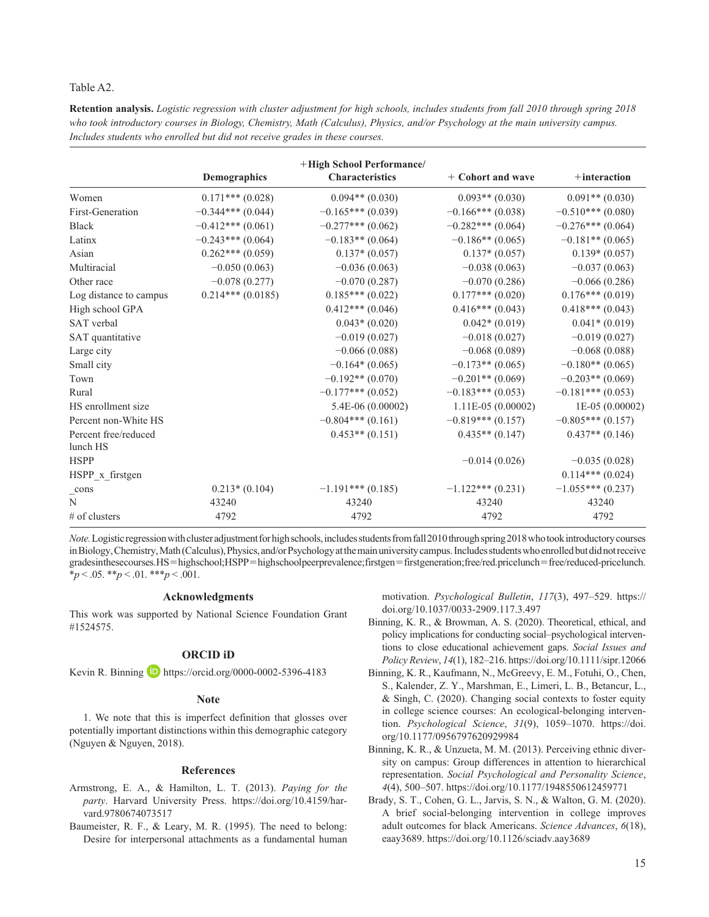## Table A2.

**Retention analysis.** *Logistic regression with cluster adjustment for high schools, includes students from fall 2010 through spring 2018 who took introductory courses in Biology, Chemistry, Math (Calculus), Physics, and/or Psychology at the main university campus. Includes students who enrolled but did not receive grades in these courses.*

|                                  |                    | +High School Performance/ |                      |                     |
|----------------------------------|--------------------|---------------------------|----------------------|---------------------|
|                                  | Demographics       | <b>Characteristics</b>    | + Cohort and wave    | $+$ interaction     |
| Women                            | $0.171***(0.028)$  | $0.094**$ (0.030)         | $0.093**$ (0.030)    | $0.091**$ (0.030)   |
| First-Generation                 | $-0.344***(0.044)$ | $-0.165***(0.039)$        | $-0.166***(0.038)$   | $-0.510***(0.080)$  |
| <b>Black</b>                     | $-0.412***(0.061)$ | $-0.277***$ (0.062)       | $-0.282***(0.064)$   | $-0.276***$ (0.064) |
| Latinx                           | $-0.243***(0.064)$ | $-0.183**$ (0.064)        | $-0.186**$ (0.065)   | $-0.181**$ (0.065)  |
| Asian                            | $0.262***(0.059)$  | $0.137*(0.057)$           | $0.137*(0.057)$      | $0.139*(0.057)$     |
| Multiracial                      | $-0.050(0.063)$    | $-0.036(0.063)$           | $-0.038(0.063)$      | $-0.037(0.063)$     |
| Other race                       | $-0.078(0.277)$    | $-0.070(0.287)$           | $-0.070(0.286)$      | $-0.066(0.286)$     |
| Log distance to campus           | $0.214***(0.0185)$ | $0.185***(0.022)$         | $0.177***$ $(0.020)$ | $0.176***(0.019)$   |
| High school GPA                  |                    | $0.412***(0.046)$         | $0.416***(0.043)$    | $0.418***(0.043)$   |
| SAT verbal                       |                    | $0.043*(0.020)$           | $0.042*(0.019)$      | $0.041*(0.019)$     |
| SAT quantitative                 |                    | $-0.019(0.027)$           | $-0.018(0.027)$      | $-0.019(0.027)$     |
| Large city                       |                    | $-0.066(0.088)$           | $-0.068(0.089)$      | $-0.068(0.088)$     |
| Small city                       |                    | $-0.164*(0.065)$          | $-0.173**$ (0.065)   | $-0.180**$ (0.065)  |
| Town                             |                    | $-0.192**$ (0.070)        | $-0.201**$ (0.069)   | $-0.203**$ (0.069)  |
| Rural                            |                    | $-0.177***$ (0.052)       | $-0.183***$ (0.053)  | $-0.181***$ (0.053) |
| HS enrollment size               |                    | $5.4E-06(0.00002)$        | $1.11E-05(0.00002)$  | $1E-05(0.00002)$    |
| Percent non-White HS             |                    | $-0.804***(0.161)$        | $-0.819***$ (0.157)  | $-0.805***(0.157)$  |
| Percent free/reduced<br>lunch HS |                    | $0.453**$ (0.151)         | $0.435**$ (0.147)    | $0.437**$ (0.146)   |
| <b>HSPP</b>                      |                    |                           | $-0.014(0.026)$      | $-0.035(0.028)$     |
| HSPP_x_firstgen                  |                    |                           |                      | $0.114***(0.024)$   |
| cons                             | $0.213*(0.104)$    | $-1.191***$ (0.185)       | $-1.122***(0.231)$   | $-1.055***(0.237)$  |
| N                                | 43240              | 43240                     | 43240                | 43240               |
| # of clusters                    | 4792               | 4792                      | 4792                 | 4792                |

*Note.* Logistic regression with cluster adjustment for high schools, includes students from fall 2010 through spring 2018 who took introductory courses in Biology, Chemistry, Math (Calculus), Physics, and/or Psychology at the main university campus. Includes students who enrolled but did not receive grades in these courses. HS = high school; HSPP = high school peer prevalence; firstgen = first generation; free/red. price lunch = free/reduced-price lunch.  $*_{p}$  < .05. \*\**p* < .01. \*\*\**p* < .001.

## **Acknowledgments**

This work was supported by National Science Foundation Grant #1524575.

## **ORCID iD**

Kevin R. Binning **b** <https://orcid.org/0000-0002-5396-4183>

## **Note**

1. We note that this is imperfect definition that glosses over potentially important distinctions within this demographic category (Nguyen & Nguyen, 2018).

#### **References**

- Armstrong, E. A., & Hamilton, L. T. (2013). *Paying for the party*. Harvard University Press. [https://doi.org/10.4159/har](https://doi.org/10.4159/harvard.9780674073517)[vard.9780674073517](https://doi.org/10.4159/harvard.9780674073517)
- Baumeister, R. F., & Leary, M. R. (1995). The need to belong: Desire for interpersonal attachments as a fundamental human

motivation. *Psychological Bulletin*, *117*(3), 497–529. [https://](https://doi.org/10.1037/0033-2909.117.3.497) [doi.org/10.1037/0033-2909.117.3.497](https://doi.org/10.1037/0033-2909.117.3.497)

- Binning, K. R., & Browman, A. S. (2020). Theoretical, ethical, and policy implications for conducting social–psychological interventions to close educational achievement gaps. *Social Issues and Policy Review*, *14*(1), 182–216.<https://doi.org/10.1111/sipr.12066>
- Binning, K. R., Kaufmann, N., McGreevy, E. M., Fotuhi, O., Chen, S., Kalender, Z. Y., Marshman, E., Limeri, L. B., Betancur, L., & Singh, C. (2020). Changing social contexts to foster equity in college science courses: An ecological-belonging intervention. *Psychological Science*, *31*(9), 1059–1070. [https://doi.](https://doi.org/10.1177/0956797620929984) [org/10.1177/0956797620929984](https://doi.org/10.1177/0956797620929984)
- Binning, K. R., & Unzueta, M. M. (2013). Perceiving ethnic diversity on campus: Group differences in attention to hierarchical representation. *Social Psychological and Personality Science*, *4*(4), 500–507.<https://doi.org/10.1177/1948550612459771>
- Brady, S. T., Cohen, G. L., Jarvis, S. N., & Walton, G. M. (2020). A brief social-belonging intervention in college improves adult outcomes for black Americans. *Science Advances*, *6*(18), eaay3689. <https://doi.org/10.1126/sciadv.aay3689>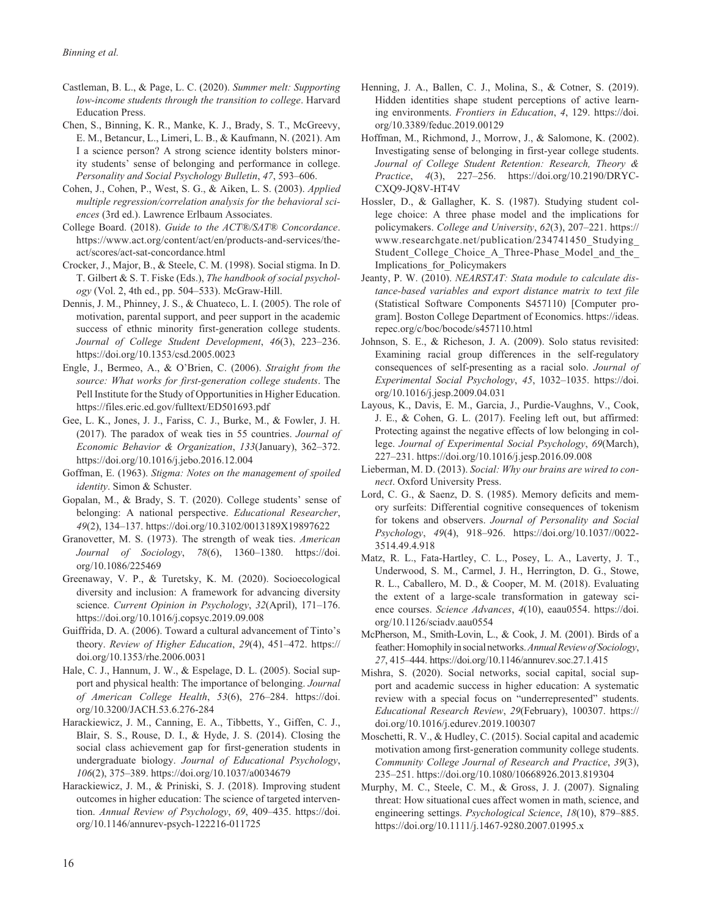- Castleman, B. L., & Page, L. C. (2020). *Summer melt: Supporting low-income students through the transition to college*. Harvard Education Press.
- Chen, S., Binning, K. R., Manke, K. J., Brady, S. T., McGreevy, E. M., Betancur, L., Limeri, L. B., & Kaufmann, N. (2021). Am I a science person? A strong science identity bolsters minority students' sense of belonging and performance in college. *Personality and Social Psychology Bulletin*, *47*, 593–606.
- Cohen, J., Cohen, P., West, S. G., & Aiken, L. S. (2003). *Applied multiple regression/correlation analysis for the behavioral sciences* (3rd ed.). Lawrence Erlbaum Associates.
- College Board. (2018). *Guide to the ACT®/SAT® Concordance*. [https://www.act.org/content/act/en/products-and-services/the](https://www.act.org/content/act/en/products-and-services/the-act/scores/act-sat-concordance.html)[act/scores/act-sat-concordance.html](https://www.act.org/content/act/en/products-and-services/the-act/scores/act-sat-concordance.html)
- Crocker, J., Major, B., & Steele, C. M. (1998). Social stigma. In D. T. Gilbert & S. T. Fiske (Eds.), *The handbook of social psychology* (Vol. 2, 4th ed., pp. 504–533). McGraw-Hill.
- Dennis, J. M., Phinney, J. S., & Chuateco, L. I. (2005). The role of motivation, parental support, and peer support in the academic success of ethnic minority first-generation college students. *Journal of College Student Development*, *46*(3), 223–236. <https://doi.org/10.1353/csd.2005.0023>
- Engle, J., Bermeo, A., & O'Brien, C. (2006). *Straight from the source: What works for first-generation college students*. The Pell Institute for the Study of Opportunities in Higher Education. <https://files.eric.ed.gov/fulltext/ED501693.pdf>
- Gee, L. K., Jones, J. J., Fariss, C. J., Burke, M., & Fowler, J. H. (2017). The paradox of weak ties in 55 countries. *Journal of Economic Behavior & Organization*, *133*(January), 362–372. <https://doi.org/10.1016/j.jebo.2016.12.004>
- Goffman, E. (1963). *Stigma: Notes on the management of spoiled identity*. Simon & Schuster.
- Gopalan, M., & Brady, S. T. (2020). College students' sense of belonging: A national perspective. *Educational Researcher*, *49*(2), 134–137.<https://doi.org/10.3102/0013189X19897622>
- Granovetter, M. S. (1973). The strength of weak ties. *American Journal of Sociology*, *78*(6), 1360–1380. [https://doi.](https://doi.org/10.1086/225469) [org/10.1086/225469](https://doi.org/10.1086/225469)
- Greenaway, V. P., & Turetsky, K. M. (2020). Socioecological diversity and inclusion: A framework for advancing diversity science. *Current Opinion in Psychology*, *32*(April), 171–176. <https://doi.org/10.1016/j.copsyc.2019.09.008>
- Guiffrida, D. A. (2006). Toward a cultural advancement of Tinto's theory. *Review of Higher Education*, *29*(4), 451–472. [https://](https://doi.org/10.1353/rhe.2006.0031) [doi.org/10.1353/rhe.2006.0031](https://doi.org/10.1353/rhe.2006.0031)
- Hale, C. J., Hannum, J. W., & Espelage, D. L. (2005). Social support and physical health: The importance of belonging. *Journal of American College Health*, *53*(6), 276–284. [https://doi.](https://doi.org/10.3200/JACH.53.6.276-284) [org/10.3200/JACH.53.6.276-284](https://doi.org/10.3200/JACH.53.6.276-284)
- Harackiewicz, J. M., Canning, E. A., Tibbetts, Y., Giffen, C. J., Blair, S. S., Rouse, D. I., & Hyde, J. S. (2014). Closing the social class achievement gap for first-generation students in undergraduate biology. *Journal of Educational Psychology*, *106*(2), 375–389.<https://doi.org/10.1037/a0034679>
- Harackiewicz, J. M., & Priniski, S. J. (2018). Improving student outcomes in higher education: The science of targeted intervention. *Annual Review of Psychology*, *69*, 409–435. [https://doi.](https://doi.org/10.1146/annurev-psych-122216-011725) [org/10.1146/annurev-psych-122216-011725](https://doi.org/10.1146/annurev-psych-122216-011725)
- Henning, J. A., Ballen, C. J., Molina, S., & Cotner, S. (2019). Hidden identities shape student perceptions of active learning environments. *Frontiers in Education*, *4*, 129. [https://doi.](https://doi.org/10.3389/feduc.2019.00129) [org/10.3389/feduc.2019.00129](https://doi.org/10.3389/feduc.2019.00129)
- Hoffman, M., Richmond, J., Morrow, J., & Salomone, K. (2002). Investigating sense of belonging in first-year college students. *Journal of College Student Retention: Research, Theory & Practice*, *4*(3), 227–256. [https://doi.org/10.2190/DRYC-](https://doi.org/10.2190/DRYC-CXQ9-JQ8V-HT4V)[CXQ9-JQ8V-HT4V](https://doi.org/10.2190/DRYC-CXQ9-JQ8V-HT4V)
- Hossler, D., & Gallagher, K. S. (1987). Studying student college choice: A three phase model and the implications for policymakers. *College and University*, *62*(3), 207–221. [https://](https://www.researchgate.net/publication/234741450_Studying_Student_College_Choice_A_Three-Phase_Model_and_the_Implications_for_Policymakers) [www.researchgate.net/publication/234741450\\_Studying\\_](https://www.researchgate.net/publication/234741450_Studying_Student_College_Choice_A_Three-Phase_Model_and_the_Implications_for_Policymakers) Student College Choice A Three-Phase Model and the [Implications\\_for\\_Policymakers](https://www.researchgate.net/publication/234741450_Studying_Student_College_Choice_A_Three-Phase_Model_and_the_Implications_for_Policymakers)
- Jeanty, P. W. (2010). *NEARSTAT: Stata module to calculate distance-based variables and export distance matrix to text file* (Statistical Software Components S457110) [Computer program]. Boston College Department of Economics. [https://ideas.](https://ideas.repec.org/c/boc/bocode/s457110.html) [repec.org/c/boc/bocode/s457110.html](https://ideas.repec.org/c/boc/bocode/s457110.html)
- Johnson, S. E., & Richeson, J. A. (2009). Solo status revisited: Examining racial group differences in the self-regulatory consequences of self-presenting as a racial solo. *Journal of Experimental Social Psychology*, *45*, 1032–1035. [https://doi.](https://doi.org/10.1016/j.jesp.2009.04.031) [org/10.1016/j.jesp.2009.04.031](https://doi.org/10.1016/j.jesp.2009.04.031)
- Layous, K., Davis, E. M., Garcia, J., Purdie-Vaughns, V., Cook, J. E., & Cohen, G. L. (2017). Feeling left out, but affirmed: Protecting against the negative effects of low belonging in college. *Journal of Experimental Social Psychology*, *69*(March), 227–231.<https://doi.org/10.1016/j.jesp.2016.09.008>
- Lieberman, M. D. (2013). *Social: Why our brains are wired to connect*. Oxford University Press.
- Lord, C. G., & Saenz, D. S. (1985). Memory deficits and memory surfeits: Differential cognitive consequences of tokenism for tokens and observers. *Journal of Personality and Social Psychology*, *49*(4), 918–926. [https://doi.org/10.1037//0022-](https://doi.org/10.1037//0022-3514.49.4.918) [3514.49.4.918](https://doi.org/10.1037//0022-3514.49.4.918)
- Matz, R. L., Fata-Hartley, C. L., Posey, L. A., Laverty, J. T., Underwood, S. M., Carmel, J. H., Herrington, D. G., Stowe, R. L., Caballero, M. D., & Cooper, M. M. (2018). Evaluating the extent of a large-scale transformation in gateway science courses. *Science Advances*, *4*(10), eaau0554. [https://doi.](https://doi.org/10.1126/sciadv.aau0554) [org/10.1126/sciadv.aau0554](https://doi.org/10.1126/sciadv.aau0554)
- McPherson, M., Smith-Lovin, L., & Cook, J. M. (2001). Birds of a feather: Homophily in social networks. *Annual Review of Sociology*, *27*, 415–444.<https://doi.org/10.1146/annurev.soc.27.1.415>
- Mishra, S. (2020). Social networks, social capital, social support and academic success in higher education: A systematic review with a special focus on "underrepresented" students. *Educational Research Review*, *29*(February), 100307. [https://](https://doi.org/10.1016/j.edurev.2019.100307) [doi.org/10.1016/j.edurev.2019.100307](https://doi.org/10.1016/j.edurev.2019.100307)
- Moschetti, R. V., & Hudley, C. (2015). Social capital and academic motivation among first-generation community college students. *Community College Journal of Research and Practice*, *39*(3), 235–251.<https://doi.org/10.1080/10668926.2013.819304>
- Murphy, M. C., Steele, C. M., & Gross, J. J. (2007). Signaling threat: How situational cues affect women in math, science, and engineering settings. *Psychological Science*, *18*(10), 879–885. <https://doi.org/10.1111/j.1467-9280.2007.01995.x>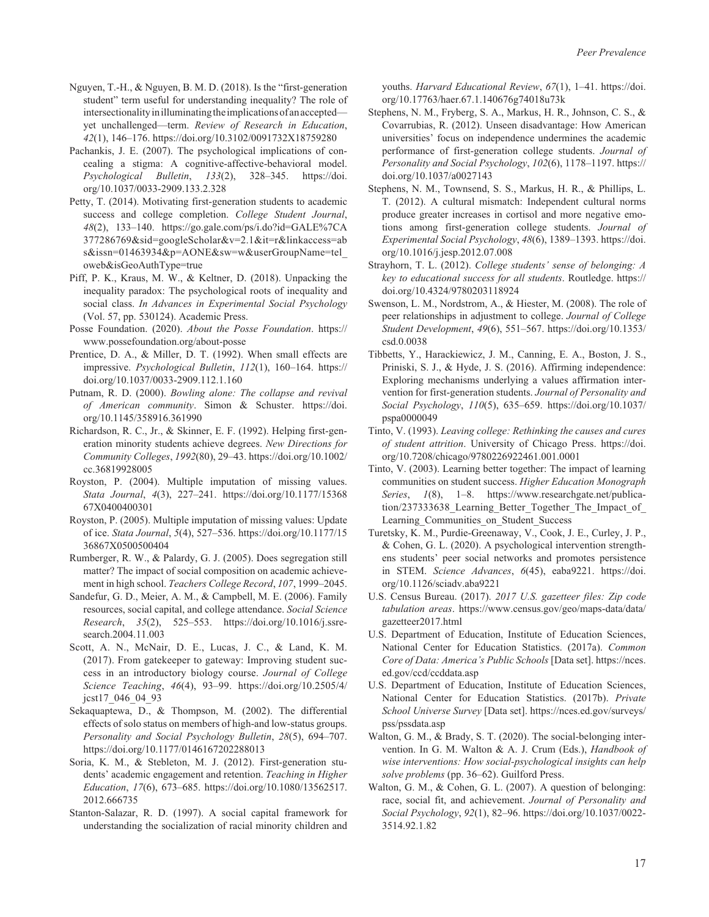- Nguyen, T.-H., & Nguyen, B. M. D. (2018). Is the "first-generation student" term useful for understanding inequality? The role of intersectionality in illuminating the implications of an accepted yet unchallenged—term. *Review of Research in Education*, *42*(1), 146–176. <https://doi.org/10.3102/0091732X18759280>
- Pachankis, J. E. (2007). The psychological implications of concealing a stigma: A cognitive-affective-behavioral model. *Psychological Bulletin*, *133*(2), 328–345. [https://doi.](https://doi.org/10.1037/0033-2909.133.2.328) [org/10.1037/0033-2909.133.2.328](https://doi.org/10.1037/0033-2909.133.2.328)
- Petty, T. (2014). Motivating first-generation students to academic success and college completion. *College Student Journal*, *48*(2), 133–140. [https://go.gale.com/ps/i.do?id=GALE%7CA](https://go.gale.com/ps/i.do?id=GALE%7CA377286769&sid=googleScholar&v=2.1&it=r&linkaccess=abs&issn=01463934&p=AONE&sw=w&userGroupName=tel_oweb&isGeoAuthType=true) [377286769&sid=googleScholar&v=2.1&it=r&linkaccess=ab](https://go.gale.com/ps/i.do?id=GALE%7CA377286769&sid=googleScholar&v=2.1&it=r&linkaccess=abs&issn=01463934&p=AONE&sw=w&userGroupName=tel_oweb&isGeoAuthType=true) [s&issn=01463934&p=AONE&sw=w&userGroupName=tel\\_](https://go.gale.com/ps/i.do?id=GALE%7CA377286769&sid=googleScholar&v=2.1&it=r&linkaccess=abs&issn=01463934&p=AONE&sw=w&userGroupName=tel_oweb&isGeoAuthType=true) [oweb&isGeoAuthType=true](https://go.gale.com/ps/i.do?id=GALE%7CA377286769&sid=googleScholar&v=2.1&it=r&linkaccess=abs&issn=01463934&p=AONE&sw=w&userGroupName=tel_oweb&isGeoAuthType=true)
- Piff, P. K., Kraus, M. W., & Keltner, D. (2018). Unpacking the inequality paradox: The psychological roots of inequality and social class. *In Advances in Experimental Social Psychology* (Vol. 57, pp. 530124). Academic Press.
- Posse Foundation. (2020). *About the Posse Foundation*. [https://](https://www.possefoundation.org/about-posse) [www.possefoundation.org/about-posse](https://www.possefoundation.org/about-posse)
- Prentice, D. A., & Miller, D. T. (1992). When small effects are impressive. *Psychological Bulletin*, *112*(1), 160–164. [https://](https://doi.org/10.1037/0033-2909.112.1.160) [doi.org/10.1037/0033-2909.112.1.160](https://doi.org/10.1037/0033-2909.112.1.160)
- Putnam, R. D. (2000). *Bowling alone: The collapse and revival of American community*. Simon & Schuster. [https://doi.](https://doi.org/10.1145/358916.361990) [org/10.1145/358916.361990](https://doi.org/10.1145/358916.361990)
- Richardson, R. C., Jr., & Skinner, E. F. (1992). Helping first-generation minority students achieve degrees. *New Directions for Community Colleges*, *1992*(80), 29–43. [https://doi.org/10.1002/](https://doi.org/10.1002/cc.36819928005) [cc.36819928005](https://doi.org/10.1002/cc.36819928005)
- Royston, P. (2004). Multiple imputation of missing values. *Stata Journal*, *4*(3), 227–241. [https://doi.org/10.1177/15368](https://doi.org/10.1177/1536867X0400400301) [67X0400400301](https://doi.org/10.1177/1536867X0400400301)
- Royston, P. (2005). Multiple imputation of missing values: Update of ice. *Stata Journal*, *5*(4), 527–536. [https://doi.org/10.1177/15](https://doi.org/10.1177/1536867X0500500404) [36867X0500500404](https://doi.org/10.1177/1536867X0500500404)
- Rumberger, R. W., & Palardy, G. J. (2005). Does segregation still matter? The impact of social composition on academic achievement in high school. *Teachers College Record*, *107*, 1999–2045.
- Sandefur, G. D., Meier, A. M., & Campbell, M. E. (2006). Family resources, social capital, and college attendance. *Social Science Research*, *35*(2), 525–553. [https://doi.org/10.1016/j.ssre](https://doi.org/10.1016/j.ssresearch.2004.11.003)[search.2004.11.003](https://doi.org/10.1016/j.ssresearch.2004.11.003)
- Scott, A. N., McNair, D. E., Lucas, J. C., & Land, K. M. (2017). From gatekeeper to gateway: Improving student success in an introductory biology course. *Journal of College Science Teaching*, *46*(4), 93–99. [https://doi.org/10.2505/4/](https://doi.org/10.2505/4/jcst17_046_04_93) [jcst17\\_046\\_04\\_93](https://doi.org/10.2505/4/jcst17_046_04_93)
- Sekaquaptewa, D., & Thompson, M. (2002). The differential effects of solo status on members of high-and low-status groups. *Personality and Social Psychology Bulletin*, *28*(5), 694–707. <https://doi.org/10.1177/0146167202288013>
- Soria, K. M., & Stebleton, M. J. (2012). First-generation students' academic engagement and retention. *Teaching in Higher Education*, *17*(6), 673–685. [https://doi.org/10.1080/13562517.](https://doi.org/10.1080/13562517.2012.666735) [2012.666735](https://doi.org/10.1080/13562517.2012.666735)
- Stanton-Salazar, R. D. (1997). A social capital framework for understanding the socialization of racial minority children and

youths. *Harvard Educational Review*, *67*(1), 1–41. [https://doi.](https://doi.org/10.17763/haer.67.1.140676g74018u73k) [org/10.17763/haer.67.1.140676g74018u73k](https://doi.org/10.17763/haer.67.1.140676g74018u73k)

- Stephens, N. M., Fryberg, S. A., Markus, H. R., Johnson, C. S., & Covarrubias, R. (2012). Unseen disadvantage: How American universities' focus on independence undermines the academic performance of first-generation college students. *Journal of Personality and Social Psychology*, *102*(6), 1178–1197. [https://](https://doi.org/10.1037/a0027143) [doi.org/10.1037/a0027143](https://doi.org/10.1037/a0027143)
- Stephens, N. M., Townsend, S. S., Markus, H. R., & Phillips, L. T. (2012). A cultural mismatch: Independent cultural norms produce greater increases in cortisol and more negative emotions among first-generation college students. *Journal of Experimental Social Psychology*, *48*(6), 1389–1393. [https://doi.](https://doi.org/10.1016/j.jesp.2012.07.008) [org/10.1016/j.jesp.2012.07.008](https://doi.org/10.1016/j.jesp.2012.07.008)
- Strayhorn, T. L. (2012). *College students' sense of belonging: A key to educational success for all students*. Routledge. [https://](https://doi.org/10.4324/9780203118924) [doi.org/10.4324/9780203118924](https://doi.org/10.4324/9780203118924)
- Swenson, L. M., Nordstrom, A., & Hiester, M. (2008). The role of peer relationships in adjustment to college. *Journal of College Student Development*, *49*(6), 551–567. [https://doi.org/10.1353/](https://doi.org/10.1353/csd.0.0038) [csd.0.0038](https://doi.org/10.1353/csd.0.0038)
- Tibbetts, Y., Harackiewicz, J. M., Canning, E. A., Boston, J. S., Priniski, S. J., & Hyde, J. S. (2016). Affirming independence: Exploring mechanisms underlying a values affirmation intervention for first-generation students. *Journal of Personality and Social Psychology*, *110*(5), 635–659. [https://doi.org/10.1037/](https://doi.org/10.1037/pspa0000049) [pspa0000049](https://doi.org/10.1037/pspa0000049)
- Tinto, V. (1993). *Leaving college: Rethinking the causes and cures of student attrition*. University of Chicago Press. [https://doi.](https://doi.org/10.7208/chicago/9780226922461.001.0001) [org/10.7208/chicago/9780226922461.001.0001](https://doi.org/10.7208/chicago/9780226922461.001.0001)
- Tinto, V. (2003). Learning better together: The impact of learning communities on student success. *Higher Education Monograph Series*, *1*(8), 1–8. [https://www.researchgate.net/publica](https://www.researchgate.net/publication/237333638_Learning_Better_Together_The_Impact_of_Learning_Communities_on_Student_Success)tion/237333638 Learning Better Together The Impact of Learning Communities on Student Success
- Turetsky, K. M., Purdie-Greenaway, V., Cook, J. E., Curley, J. P., & Cohen, G. L. (2020). A psychological intervention strengthens students' peer social networks and promotes persistence in STEM. *Science Advances*, *6*(45), eaba9221. [https://doi.](https://doi.org/10.1126/sciadv.aba9221) [org/10.1126/sciadv.aba9221](https://doi.org/10.1126/sciadv.aba9221)
- U.S. Census Bureau. (2017). *2017 U.S. gazetteer files: Zip code tabulation areas*. [https://www.census.gov/geo/maps-data/data/](https://www.census.gov/geo/maps-data/data/gazetteer2017.html) [gazetteer2017.html](https://www.census.gov/geo/maps-data/data/gazetteer2017.html)
- U.S. Department of Education, Institute of Education Sciences, National Center for Education Statistics. (2017a). *Common Core of Data: America's Public Schools* [Data set]. [https://nces.](https://nces.ed.gov/ccd/ccddata.asp) [ed.gov/ccd/ccddata.asp](https://nces.ed.gov/ccd/ccddata.asp)
- U.S. Department of Education, Institute of Education Sciences, National Center for Education Statistics. (2017b). *Private School Universe Survey* [Data set]. [https://nces.ed.gov/surveys/](https://nces.ed.gov/surveys/pss/pssdata.asp) [pss/pssdata.asp](https://nces.ed.gov/surveys/pss/pssdata.asp)
- Walton, G. M., & Brady, S. T. (2020). The social-belonging intervention. In G. M. Walton & A. J. Crum (Eds.), *Handbook of wise interventions: How social-psychological insights can help solve problems* (pp. 36–62). Guilford Press.
- Walton, G. M., & Cohen, G. L. (2007). A question of belonging: race, social fit, and achievement. *Journal of Personality and Social Psychology*, *92*(1), 82–96. [https://doi.org/10.1037/0022-](https://doi.org/10.1037/0022-3514.92.1.82) [3514.92.1.82](https://doi.org/10.1037/0022-3514.92.1.82)